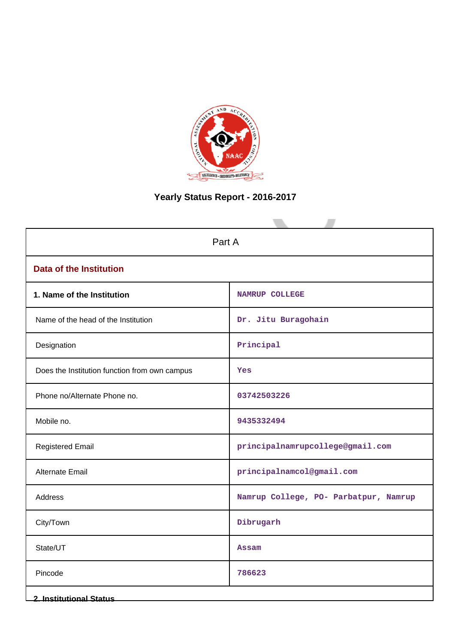

# **Yearly Status Report - 2016-2017**

| Part A                                        |                                       |  |
|-----------------------------------------------|---------------------------------------|--|
| <b>Data of the Institution</b>                |                                       |  |
| 1. Name of the Institution                    | <b>NAMRUP COLLEGE</b>                 |  |
| Name of the head of the Institution           | Dr. Jitu Buragohain                   |  |
| Designation                                   | Principal                             |  |
| Does the Institution function from own campus | Yes                                   |  |
| Phone no/Alternate Phone no.                  | 03742503226                           |  |
| Mobile no.                                    | 9435332494                            |  |
| <b>Registered Email</b>                       | principalnamrupcollege@gmail.com      |  |
| Alternate Email                               | principalnamcol@gmail.com             |  |
| Address                                       | Namrup College, PO- Parbatpur, Namrup |  |
| City/Town                                     | Dibrugarh                             |  |
| State/UT                                      | Assam                                 |  |
| Pincode                                       | 786623                                |  |
| <b>2. Institutional Status</b>                |                                       |  |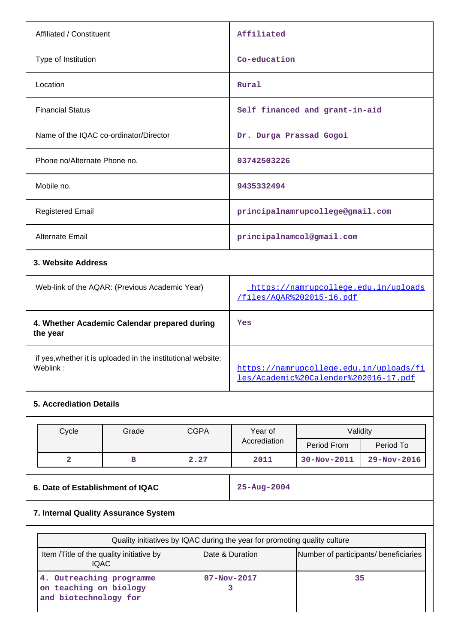| Affiliated / Constituent                       | Affiliated                                                        |  |
|------------------------------------------------|-------------------------------------------------------------------|--|
| Type of Institution                            | Co-education                                                      |  |
| Location                                       | Rural                                                             |  |
| <b>Financial Status</b>                        | Self financed and grant-in-aid                                    |  |
| Name of the IQAC co-ordinator/Director         | Dr. Durga Prassad Gogoi                                           |  |
| Phone no/Alternate Phone no.                   | 03742503226                                                       |  |
| Mobile no.                                     | 9435332494                                                        |  |
| <b>Registered Email</b>                        | principalnamrupcollege@gmail.com                                  |  |
| <b>Alternate Email</b>                         | principalnamcol@gmail.com                                         |  |
| 3. Website Address                             |                                                                   |  |
| Web-link of the AQAR: (Previous Academic Year) | https://namrupcollege.edu.in/uploads<br>/files/AOAR%202015-16.pdf |  |

| 4. Whether Academic Calendar prepared during<br>the year                 | Yes                                                                              |
|--------------------------------------------------------------------------|----------------------------------------------------------------------------------|
| if yes, whether it is uploaded in the institutional website:<br>Weblink: | https://namrupcollege.edu.in/uploads/fi<br>les/Academic%20Calender%202016-17.pdf |

# **5. Accrediation Details**

| Cycle | Grade | <b>CGPA</b> | Year of      | Validity          |                   |
|-------|-------|-------------|--------------|-------------------|-------------------|
|       |       |             | Accrediation | Period From       | Period To         |
| ∼     | в     | 2.27        | 2011         | $30 - Nov - 2011$ | $29 - Nov - 2016$ |

**6. Date of Establishment of IQAC 25-Aug-2004**

# **7. Internal Quality Assurance System**

| Quality initiatives by IQAC during the year for promoting quality culture   |                   |                                       |
|-----------------------------------------------------------------------------|-------------------|---------------------------------------|
| Item / Title of the quality initiative by<br><b>IQAC</b>                    | Date & Duration   | Number of participants/ beneficiaries |
| 4. Outreaching programme<br>on teaching on biology<br>and biotechnology for | $07 - Nov - 2017$ | 35                                    |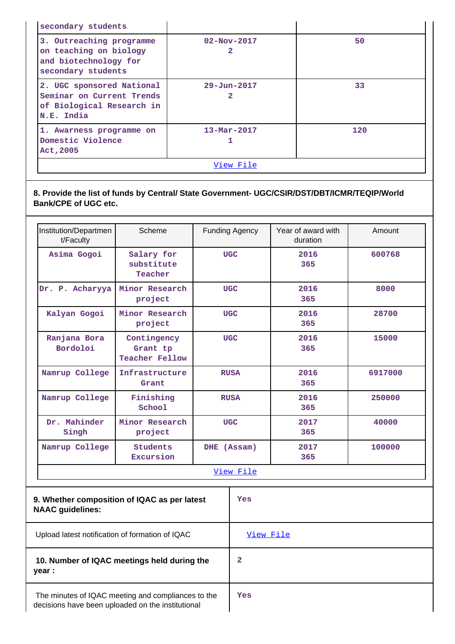| secondary students                                                                                |                                     |     |
|---------------------------------------------------------------------------------------------------|-------------------------------------|-----|
| 3. Outreaching programme<br>on teaching on biology<br>and biotechnology for<br>secondary students | $02 - Nov - 2017$                   | 50  |
| 2. UGC sponsored National<br>Seminar on Current Trends<br>of Biological Research in<br>N.E. India | $29 - Jun - 2017$<br>$\overline{2}$ | 33  |
| 1. Awarness programme on<br>Domestic Violence<br>Act, 2005                                        | $13 - \text{Mar} - 2017$            | 120 |
| View File                                                                                         |                                     |     |

**8. Provide the list of funds by Central/ State Government- UGC/CSIR/DST/DBT/ICMR/TEQIP/World Bank/CPE of UGC etc.**

| Institution/Departmen<br>t/Faculty                                      | Scheme                                           |             | <b>Funding Agency</b> | Year of award with<br>duration | Amount  |
|-------------------------------------------------------------------------|--------------------------------------------------|-------------|-----------------------|--------------------------------|---------|
| Asima Gogoi                                                             | Salary for<br>substitute<br>Teacher              | <b>UGC</b>  |                       | 2016<br>365                    | 600768  |
| Dr. P. Acharyya                                                         | Minor Research<br>project                        |             | <b>UGC</b>            | 2016<br>365                    | 8000    |
| Kalyan Gogoi                                                            | Minor Research<br>project                        |             | <b>UGC</b>            | 2016<br>365                    | 28700   |
| Ranjana Bora<br>Bordoloi                                                | Contingency<br>Grant tp<br><b>Teacher Fellow</b> | <b>UGC</b>  |                       | 2016<br>365                    | 15000   |
| Namrup College                                                          | Infrastructure<br>Grant                          | <b>RUSA</b> |                       | 2016<br>365                    | 6917000 |
| Namrup College                                                          | Finishing<br>School                              | <b>RUSA</b> |                       | 2016<br>365                    | 250000  |
| Dr. Mahinder<br>Singh                                                   | Minor Research<br>project                        |             | <b>UGC</b>            | 2017<br>365                    | 40000   |
| Namrup College                                                          | <b>Students</b><br>Excursion                     | DHE (Assam) |                       | 2017<br>365                    | 100000  |
|                                                                         |                                                  |             | View File             |                                |         |
| 9. Whether composition of IQAC as per latest<br><b>NAAC</b> guidelines: |                                                  |             | <b>Yes</b>            |                                |         |
| Upload latest notification of formation of IQAC                         |                                                  |             | View File             |                                |         |
| 10. Number of IQAC meetings held during the<br>year :                   |                                                  |             | $\overline{2}$        |                                |         |

 The minutes of IQAC meeting and compliances to the decisions have been uploaded on the institutional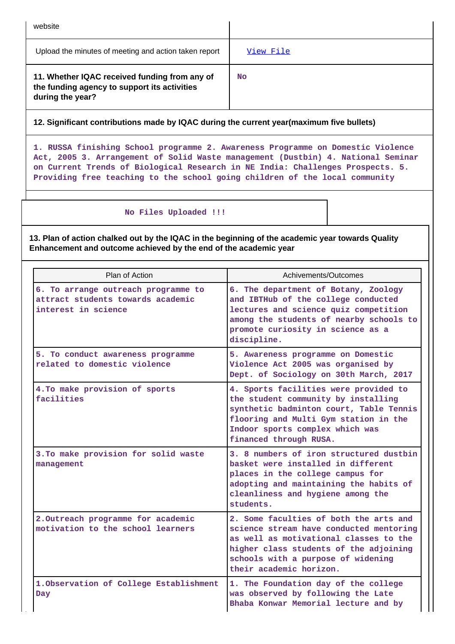| website                                                                                                           |           |
|-------------------------------------------------------------------------------------------------------------------|-----------|
| Upload the minutes of meeting and action taken report                                                             | View File |
| 11. Whether IQAC received funding from any of<br>the funding agency to support its activities<br>during the year? | No        |

**12. Significant contributions made by IQAC during the current year(maximum five bullets)**

**1. RUSSA finishing School programme 2. Awareness Programme on Domestic Violence Act, 2005 3. Arrangement of Solid Waste management (Dustbin) 4. National Seminar on Current Trends of Biological Research in NE India: Challenges Prospects. 5. Providing free teaching to the school going children of the local community**

 **No Files Uploaded !!!**

**13. Plan of action chalked out by the IQAC in the beginning of the academic year towards Quality Enhancement and outcome achieved by the end of the academic year**

| Plan of Action                                                                                  | Achivements/Outcomes                                                                                                                                                                                                                   |
|-------------------------------------------------------------------------------------------------|----------------------------------------------------------------------------------------------------------------------------------------------------------------------------------------------------------------------------------------|
| 6. To arrange outreach programme to<br>attract students towards academic<br>interest in science | 6. The department of Botany, Zoology<br>and IBTHub of the college conducted<br>lectures and science quiz competition<br>among the students of nearby schools to<br>promote curiosity in science as a<br>discipline.                    |
| 5. To conduct awareness programme<br>related to domestic violence                               | 5. Awareness programme on Domestic<br>Violence Act 2005 was organised by<br>Dept. of Sociology on 30th March, 2017                                                                                                                     |
| 4. To make provision of sports<br>facilities                                                    | 4. Sports facilities were provided to<br>the student community by installing<br>synthetic badminton court, Table Tennis<br>flooring and Multi Gym station in the<br>Indoor sports complex which was<br>financed through RUSA.          |
| 3. To make provision for solid waste<br>management                                              | 3. 8 numbers of iron structured dustbin<br>basket were installed in different<br>places in the college campus for<br>adopting and maintaining the habits of<br>cleanliness and hygiene among the<br>students.                          |
| 2. Outreach programme for academic<br>motivation to the school learners                         | 2. Some faculties of both the arts and<br>science stream have conducted mentoring<br>as well as motivational classes to the<br>higher class students of the adjoining<br>schools with a purpose of widening<br>their academic horizon. |
| 1. Observation of College Establishment<br>Day                                                  | 1. The Foundation day of the college<br>was observed by following the Late<br>Bhaba Konwar Memorial lecture and by                                                                                                                     |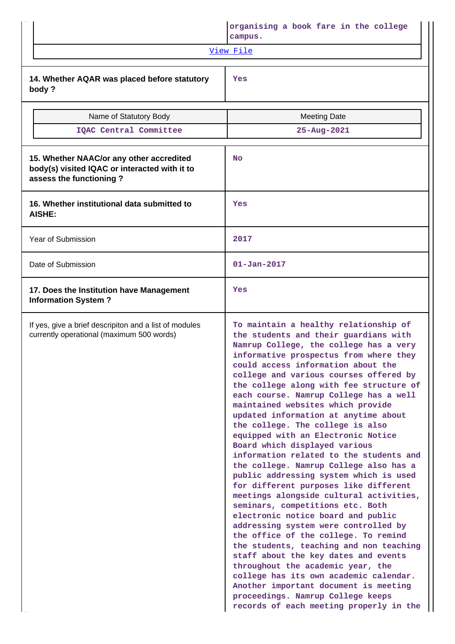|                                                                                                                      | organising a book fare in the college<br>campus.                                                                                                                                                                                                                                                                                                                                                                                                                                                                                                                                                                                                                                                                                                                                                                                                                                                                                                                                                                                                                                                                                                                                                        |
|----------------------------------------------------------------------------------------------------------------------|---------------------------------------------------------------------------------------------------------------------------------------------------------------------------------------------------------------------------------------------------------------------------------------------------------------------------------------------------------------------------------------------------------------------------------------------------------------------------------------------------------------------------------------------------------------------------------------------------------------------------------------------------------------------------------------------------------------------------------------------------------------------------------------------------------------------------------------------------------------------------------------------------------------------------------------------------------------------------------------------------------------------------------------------------------------------------------------------------------------------------------------------------------------------------------------------------------|
|                                                                                                                      | View File                                                                                                                                                                                                                                                                                                                                                                                                                                                                                                                                                                                                                                                                                                                                                                                                                                                                                                                                                                                                                                                                                                                                                                                               |
| 14. Whether AQAR was placed before statutory<br>body?                                                                | Yes                                                                                                                                                                                                                                                                                                                                                                                                                                                                                                                                                                                                                                                                                                                                                                                                                                                                                                                                                                                                                                                                                                                                                                                                     |
| Name of Statutory Body                                                                                               | <b>Meeting Date</b>                                                                                                                                                                                                                                                                                                                                                                                                                                                                                                                                                                                                                                                                                                                                                                                                                                                                                                                                                                                                                                                                                                                                                                                     |
| IQAC Central Committee                                                                                               | 25-Aug-2021                                                                                                                                                                                                                                                                                                                                                                                                                                                                                                                                                                                                                                                                                                                                                                                                                                                                                                                                                                                                                                                                                                                                                                                             |
| 15. Whether NAAC/or any other accredited<br>body(s) visited IQAC or interacted with it to<br>assess the functioning? | <b>No</b>                                                                                                                                                                                                                                                                                                                                                                                                                                                                                                                                                                                                                                                                                                                                                                                                                                                                                                                                                                                                                                                                                                                                                                                               |
| 16. Whether institutional data submitted to<br>AISHE:                                                                | Yes                                                                                                                                                                                                                                                                                                                                                                                                                                                                                                                                                                                                                                                                                                                                                                                                                                                                                                                                                                                                                                                                                                                                                                                                     |
| Year of Submission                                                                                                   | 2017                                                                                                                                                                                                                                                                                                                                                                                                                                                                                                                                                                                                                                                                                                                                                                                                                                                                                                                                                                                                                                                                                                                                                                                                    |
| Date of Submission                                                                                                   | $01 - Jan - 2017$                                                                                                                                                                                                                                                                                                                                                                                                                                                                                                                                                                                                                                                                                                                                                                                                                                                                                                                                                                                                                                                                                                                                                                                       |
| 17. Does the Institution have Management<br><b>Information System?</b>                                               | Yes                                                                                                                                                                                                                                                                                                                                                                                                                                                                                                                                                                                                                                                                                                                                                                                                                                                                                                                                                                                                                                                                                                                                                                                                     |
| If yes, give a brief descripiton and a list of modules<br>currently operational (maximum 500 words)                  | To maintain a healthy relationship of<br>the students and their guardians with<br>Namrup College, the college has a very<br>informative prospectus from where they<br>could access information about the<br>college and various courses offered by<br>the college along with fee structure of<br>each course. Namrup College has a well<br>maintained websites which provide<br>updated information at anytime about<br>the college. The college is also<br>equipped with an Electronic Notice<br>Board which displayed various<br>information related to the students and<br>the college. Namrup College also has a<br>public addressing system which is used<br>for different purposes like different<br>meetings alongside cultural activities,<br>seminars, competitions etc. Both<br>electronic notice board and public<br>addressing system were controlled by<br>the office of the college. To remind<br>the students, teaching and non teaching<br>staff about the key dates and events<br>throughout the academic year, the<br>college has its own academic calendar.<br>Another important document is meeting<br>proceedings. Namrup College keeps<br>records of each meeting properly in the |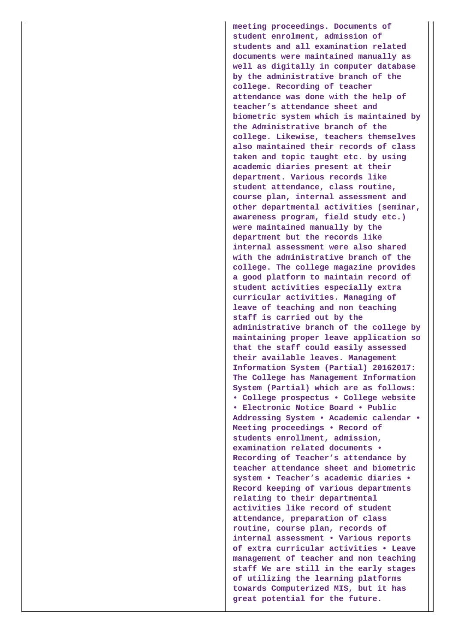**meeting proceedings. Documents of student enrolment, admission of students and all examination related documents were maintained manually as well as digitally in computer database by the administrative branch of the college. Recording of teacher attendance was done with the help of teacher's attendance sheet and biometric system which is maintained by the Administrative branch of the college. Likewise, teachers themselves also maintained their records of class taken and topic taught etc. by using academic diaries present at their department. Various records like student attendance, class routine, course plan, internal assessment and other departmental activities (seminar, awareness program, field study etc.) were maintained manually by the department but the records like internal assessment were also shared with the administrative branch of the college. The college magazine provides a good platform to maintain record of student activities especially extra curricular activities. Managing of leave of teaching and non teaching staff is carried out by the administrative branch of the college by maintaining proper leave application so that the staff could easily assessed their available leaves. Management Information System (Partial) 20162017: The College has Management Information System (Partial) which are as follows: • College prospectus • College website • Electronic Notice Board • Public Addressing System • Academic calendar • Meeting proceedings • Record of students enrollment, admission, examination related documents • Recording of Teacher's attendance by teacher attendance sheet and biometric system • Teacher's academic diaries • Record keeping of various departments relating to their departmental activities like record of student attendance, preparation of class routine, course plan, records of internal assessment • Various reports of extra curricular activities • Leave management of teacher and non teaching staff We are still in the early stages of utilizing the learning platforms towards Computerized MIS, but it has great potential for the future.**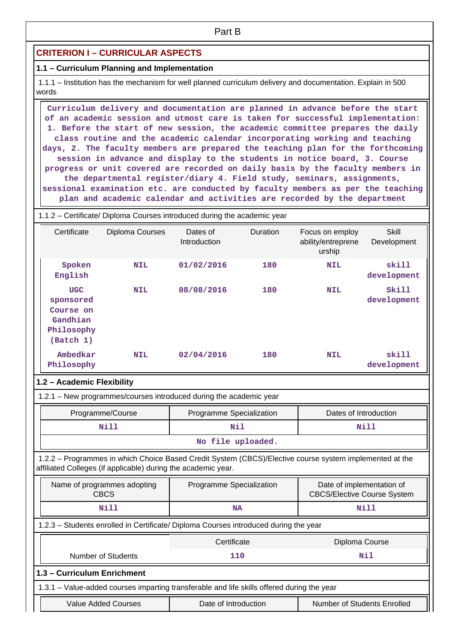# **CRITERION I – CURRICULAR ASPECTS**

#### **1.1 – Curriculum Planning and Implementation**

 1.1.1 – Institution has the mechanism for well planned curriculum delivery and documentation. Explain in 500 words

 **Curriculum delivery and documentation are planned in advance before the start of an academic session and utmost care is taken for successful implementation: 1. Before the start of new session, the academic committee prepares the daily class routine and the academic calendar incorporating working and teaching days, 2. The faculty members are prepared the teaching plan for the forthcoming session in advance and display to the students in notice board, 3. Course progress or unit covered are recorded on daily basis by the faculty members in the departmental register/diary 4. Field study, seminars, assignments, sessional examination etc. are conducted by faculty members as per the teaching plan and academic calendar and activities are recorded by the department**

#### 1.1.2 – Certificate/ Diploma Courses introduced during the academic year

| Certificate                                                                 | Diploma Courses | Dates of<br>Introduction | <b>Duration</b> | Focus on employ<br>ability/entreprene<br>urship | Skill<br>Development |
|-----------------------------------------------------------------------------|-----------------|--------------------------|-----------------|-------------------------------------------------|----------------------|
| Spoken<br>English                                                           | <b>NIL</b>      | 01/02/2016               | 180             | <b>NIL</b>                                      | skill<br>development |
| <b>UGC</b><br>sponsored<br>Course on<br>Gandhian<br>Philosophy<br>(Batch 1) | <b>NIL</b>      | 08/08/2016               | 180             | <b>NIL</b>                                      | Skill<br>development |
| Ambedkar<br>Philosophy                                                      | <b>NIL</b>      | 02/04/2016               | 180             | <b>NIL</b>                                      | skill<br>development |

#### **1.2 – Academic Flexibility**

1.2.1 – New programmes/courses introduced during the academic year

| Programme/Course  | Programme Specialization | Dates of Introduction |  |
|-------------------|--------------------------|-----------------------|--|
| Nill              | Nil                      | Nill                  |  |
| No file uploaded. |                          |                       |  |

# 1.2.2 – Programmes in which Choice Based Credit System (CBCS)/Elective course system implemented at the affiliated Colleges (if applicable) during the academic year.

| Name of programmes adopting<br><b>CBCS</b>                                           | Programme Specialization | Date of implementation of<br><b>CBCS/Elective Course System</b> |  |  |  |  |  |  |
|--------------------------------------------------------------------------------------|--------------------------|-----------------------------------------------------------------|--|--|--|--|--|--|
| Nill                                                                                 | NA                       | Nill                                                            |  |  |  |  |  |  |
| 1.2.3 – Students enrolled in Certificate/ Diploma Courses introduced during the year |                          |                                                                 |  |  |  |  |  |  |
|                                                                                      | Certificate              | Diploma Course                                                  |  |  |  |  |  |  |
|                                                                                      |                          |                                                                 |  |  |  |  |  |  |

# Number of Students **110** Number of Students **110 1.3 – Curriculum Enrichment** 1.3.1 – Value-added courses imparting transferable and life skills offered during the year

| Value Added Courses | Date of Introduction | Number of Students Enrolled |
|---------------------|----------------------|-----------------------------|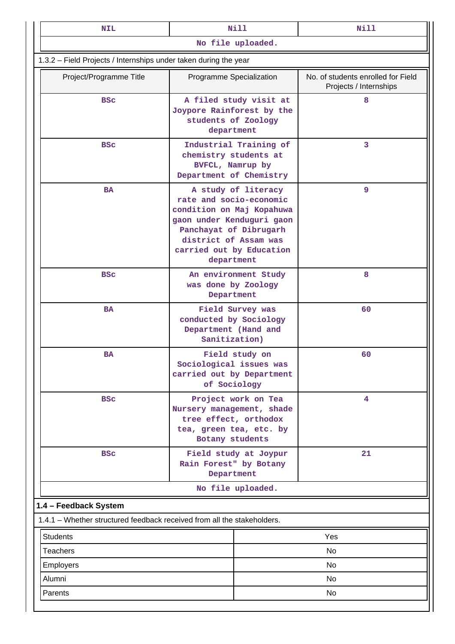| <b>NIL</b>                                                              | <b>Nill</b>                                                                                                                                                                                           | <b>Nill</b>                                                  |  |  |  |
|-------------------------------------------------------------------------|-------------------------------------------------------------------------------------------------------------------------------------------------------------------------------------------------------|--------------------------------------------------------------|--|--|--|
|                                                                         | No file uploaded.                                                                                                                                                                                     |                                                              |  |  |  |
| 1.3.2 - Field Projects / Internships under taken during the year        |                                                                                                                                                                                                       |                                                              |  |  |  |
| Project/Programme Title                                                 | Programme Specialization                                                                                                                                                                              | No. of students enrolled for Field<br>Projects / Internships |  |  |  |
| <b>BSC</b>                                                              | A filed study visit at<br>Joypore Rainforest by the<br>students of Zoology<br>department                                                                                                              | 8                                                            |  |  |  |
| <b>BSC</b>                                                              | Industrial Training of<br>chemistry students at<br>BVFCL, Namrup by<br>Department of Chemistry                                                                                                        | 3                                                            |  |  |  |
| <b>BA</b>                                                               | A study of literacy<br>rate and socio-economic<br>condition on Maj Kopahuwa<br>gaon under Kenduguri gaon<br>Panchayat of Dibrugarh<br>district of Assam was<br>carried out by Education<br>department | 9                                                            |  |  |  |
| <b>BSC</b>                                                              | An environment Study<br>was done by Zoology<br>Department                                                                                                                                             | 8                                                            |  |  |  |
| <b>BA</b>                                                               | Field Survey was<br>conducted by Sociology<br>Department (Hand and<br>Sanitization)                                                                                                                   | 60                                                           |  |  |  |
| <b>BA</b>                                                               | Field study on<br>Sociological issues was<br>carried out by Department<br>of Sociology                                                                                                                | 60                                                           |  |  |  |
| <b>BSC</b>                                                              | Project work on Tea<br>Nursery management, shade<br>tree effect, orthodox<br>tea, green tea, etc. by<br>Botany students                                                                               | 4                                                            |  |  |  |
| <b>BSC</b>                                                              | Field study at Joypur<br>Rain Forest" by Botany<br>Department                                                                                                                                         | 21                                                           |  |  |  |
|                                                                         | No file uploaded.                                                                                                                                                                                     |                                                              |  |  |  |
| 1.4 - Feedback System                                                   |                                                                                                                                                                                                       |                                                              |  |  |  |
| 1.4.1 - Whether structured feedback received from all the stakeholders. |                                                                                                                                                                                                       |                                                              |  |  |  |
| <b>Students</b>                                                         |                                                                                                                                                                                                       | Yes                                                          |  |  |  |
| <b>Teachers</b>                                                         |                                                                                                                                                                                                       | No                                                           |  |  |  |
| <b>Employers</b>                                                        |                                                                                                                                                                                                       | No                                                           |  |  |  |
| Alumni                                                                  |                                                                                                                                                                                                       | No                                                           |  |  |  |
| Parents                                                                 |                                                                                                                                                                                                       | No                                                           |  |  |  |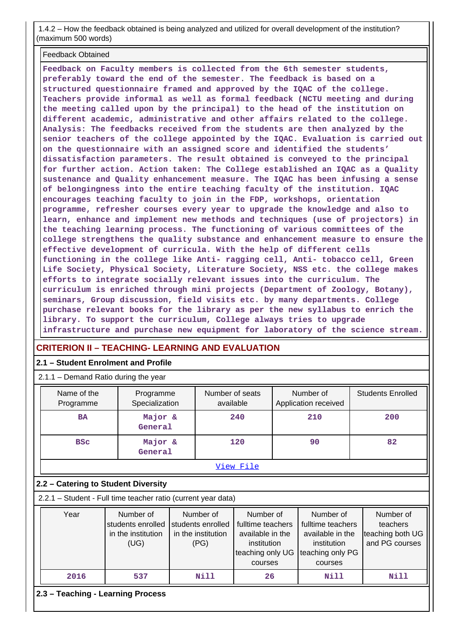1.4.2 – How the feedback obtained is being analyzed and utilized for overall development of the institution? (maximum 500 words)

#### Feedback Obtained

**Feedback on Faculty members is collected from the 6th semester students, preferably toward the end of the semester. The feedback is based on a structured questionnaire framed and approved by the IQAC of the college. Teachers provide informal as well as formal feedback (NCTU meeting and during the meeting called upon by the principal) to the head of the institution on different academic, administrative and other affairs related to the college. Analysis: The feedbacks received from the students are then analyzed by the senior teachers of the college appointed by the IQAC. Evaluation is carried out on the questionnaire with an assigned score and identified the students' dissatisfaction parameters. The result obtained is conveyed to the principal for further action. Action taken: The College established an IQAC as a Quality sustenance and Quality enhancement measure. The IQAC has been infusing a sense of belongingness into the entire teaching faculty of the institution. IQAC encourages teaching faculty to join in the FDP, workshops, orientation programme, refresher courses every year to upgrade the knowledge and also to learn, enhance and implement new methods and techniques (use of projectors) in the teaching learning process. The functioning of various committees of the college strengthens the quality substance and enhancement measure to ensure the effective development of curricula. With the help of different cells functioning in the college like Anti- ragging cell, Anti- tobacco cell, Green Life Society, Physical Society, Literature Society, NSS etc. the college makes efforts to integrate socially relevant issues into the curriculum. The curriculum is enriched through mini projects (Department of Zoology, Botany), seminars, Group discussion, field visits etc. by many departments. College purchase relevant books for the library as per the new syllabus to enrich the library. To support the curriculum, College always tries to upgrade infrastructure and purchase new equipment for laboratory of the science stream.**

# **CRITERION II – TEACHING- LEARNING AND EVALUATION**

#### **2.1 – Student Enrolment and Profile**

2.1.1 – Demand Ratio during the year

| $2.1.1 - 1.0$ contains in all $0.001$ and $0.001$                                                                                                                                                                                                                                                                                                                                                           |                    |                             |      |                              |    |                                   |                          |  |  |
|-------------------------------------------------------------------------------------------------------------------------------------------------------------------------------------------------------------------------------------------------------------------------------------------------------------------------------------------------------------------------------------------------------------|--------------------|-----------------------------|------|------------------------------|----|-----------------------------------|--------------------------|--|--|
| Name of the<br>Programme                                                                                                                                                                                                                                                                                                                                                                                    |                    | Programme<br>Specialization |      | Number of seats<br>available |    | Number of<br>Application received | <b>Students Enrolled</b> |  |  |
| <b>BA</b>                                                                                                                                                                                                                                                                                                                                                                                                   | Major &<br>General |                             |      | 240                          |    | 210                               | 200                      |  |  |
| Major &<br><b>BSC</b><br>General                                                                                                                                                                                                                                                                                                                                                                            |                    |                             | 120  |                              | 90 |                                   | 82                       |  |  |
|                                                                                                                                                                                                                                                                                                                                                                                                             |                    |                             |      | View File                    |    |                                   |                          |  |  |
| 2.2 - Catering to Student Diversity                                                                                                                                                                                                                                                                                                                                                                         |                    |                             |      |                              |    |                                   |                          |  |  |
| 2.2.1 - Student - Full time teacher ratio (current year data)                                                                                                                                                                                                                                                                                                                                               |                    |                             |      |                              |    |                                   |                          |  |  |
| Year<br>Number of<br>Number of<br>Number of<br>Number of<br>Number of<br>fulltime teachers<br>fulltime teachers<br>students enrolled<br>students enrolled<br>teachers<br>in the institution<br>teaching both UG<br>in the institution<br>available in the<br>available in the<br>and PG courses<br>(UG)<br>(PG)<br>institution<br>institution<br>teaching only UG<br>teaching only PG<br>courses<br>courses |                    |                             |      |                              |    |                                   |                          |  |  |
| 2016                                                                                                                                                                                                                                                                                                                                                                                                        | 537                |                             | Nill | 26                           |    | Nill                              | Nill                     |  |  |
| 2.3 - Teaching - Learning Process                                                                                                                                                                                                                                                                                                                                                                           |                    |                             |      |                              |    |                                   |                          |  |  |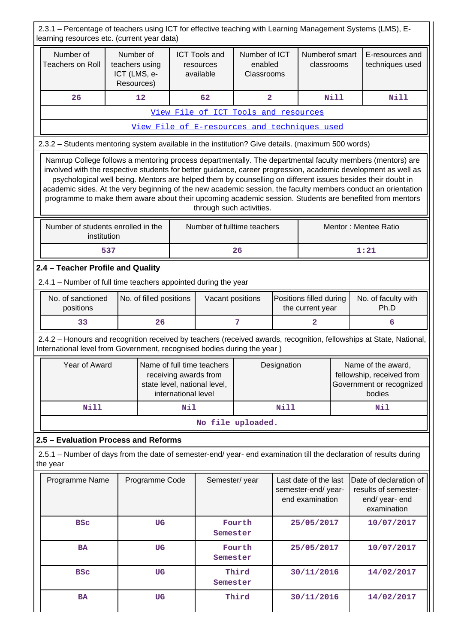2.3.1 – Percentage of teachers using ICT for effective teaching with Learning Management Systems (LMS), Elearning resources etc. (current year data)

| lcarilling rosodroos olo. Todriont your data)                                                                                                                                                                                                                                                                                                                                                                                                                                                                                                                          |                                              |                         |                                                                                                            |                                                |                                        |             |                                                                |      |      |                                                                                       |  |
|------------------------------------------------------------------------------------------------------------------------------------------------------------------------------------------------------------------------------------------------------------------------------------------------------------------------------------------------------------------------------------------------------------------------------------------------------------------------------------------------------------------------------------------------------------------------|----------------------------------------------|-------------------------|------------------------------------------------------------------------------------------------------------|------------------------------------------------|----------------------------------------|-------------|----------------------------------------------------------------|------|------|---------------------------------------------------------------------------------------|--|
| Number of<br><b>Teachers on Roll</b>                                                                                                                                                                                                                                                                                                                                                                                                                                                                                                                                   | teachers using<br>ICT (LMS, e-<br>Resources) | Number of               |                                                                                                            | <b>ICT Tools and</b><br>resources<br>available | Number of ICT<br>enabled<br>Classrooms |             | Numberof smart<br>classrooms                                   |      |      | E-resources and<br>techniques used                                                    |  |
| 26                                                                                                                                                                                                                                                                                                                                                                                                                                                                                                                                                                     |                                              | 12                      | 62<br>$\overline{\mathbf{2}}$                                                                              |                                                |                                        | Nill        |                                                                | Nill |      |                                                                                       |  |
|                                                                                                                                                                                                                                                                                                                                                                                                                                                                                                                                                                        |                                              |                         |                                                                                                            | View File of ICT Tools and resources           |                                        |             |                                                                |      |      |                                                                                       |  |
|                                                                                                                                                                                                                                                                                                                                                                                                                                                                                                                                                                        |                                              |                         |                                                                                                            | View File of E-resources and techniques used   |                                        |             |                                                                |      |      |                                                                                       |  |
| 2.3.2 - Students mentoring system available in the institution? Give details. (maximum 500 words)                                                                                                                                                                                                                                                                                                                                                                                                                                                                      |                                              |                         |                                                                                                            |                                                |                                        |             |                                                                |      |      |                                                                                       |  |
| Namrup College follows a mentoring process departmentally. The departmental faculty members (mentors) are<br>involved with the respective students for better guidance, career progression, academic development as well as<br>psychological well being. Mentors are helped them by counselling on different issues besides their doubt in<br>academic sides. At the very beginning of the new academic session, the faculty members conduct an orientation<br>programme to make them aware about their upcoming academic session. Students are benefited from mentors |                                              |                         |                                                                                                            | through such activities.                       |                                        |             |                                                                |      |      |                                                                                       |  |
| Mentor: Mentee Ratio<br>Number of students enrolled in the<br>Number of fulltime teachers<br>institution                                                                                                                                                                                                                                                                                                                                                                                                                                                               |                                              |                         |                                                                                                            |                                                |                                        |             |                                                                |      |      |                                                                                       |  |
|                                                                                                                                                                                                                                                                                                                                                                                                                                                                                                                                                                        | 537                                          |                         |                                                                                                            |                                                | 26                                     |             |                                                                |      | 1:21 |                                                                                       |  |
| 2.4 - Teacher Profile and Quality                                                                                                                                                                                                                                                                                                                                                                                                                                                                                                                                      |                                              |                         |                                                                                                            |                                                |                                        |             |                                                                |      |      |                                                                                       |  |
| 2.4.1 - Number of full time teachers appointed during the year                                                                                                                                                                                                                                                                                                                                                                                                                                                                                                         |                                              |                         |                                                                                                            |                                                |                                        |             |                                                                |      |      |                                                                                       |  |
| No. of sanctioned<br>positions                                                                                                                                                                                                                                                                                                                                                                                                                                                                                                                                         |                                              | No. of filled positions |                                                                                                            | Vacant positions                               |                                        |             | Positions filled during<br>the current year                    |      |      | No. of faculty with<br>Ph.D                                                           |  |
| 33                                                                                                                                                                                                                                                                                                                                                                                                                                                                                                                                                                     |                                              | 26                      |                                                                                                            |                                                | 7                                      |             | $\overline{a}$                                                 |      |      | 6                                                                                     |  |
| 2.4.2 - Honours and recognition received by teachers (received awards, recognition, fellowships at State, National,<br>International level from Government, recognised bodies during the year)                                                                                                                                                                                                                                                                                                                                                                         |                                              |                         |                                                                                                            |                                                |                                        |             |                                                                |      |      |                                                                                       |  |
| Year of Award                                                                                                                                                                                                                                                                                                                                                                                                                                                                                                                                                          |                                              |                         | Name of full time teachers<br>receiving awards from<br>state level, national level,<br>international level |                                                |                                        | Designation |                                                                |      |      | Name of the award,<br>fellowship, received from<br>Government or recognized<br>bodies |  |
| Nill                                                                                                                                                                                                                                                                                                                                                                                                                                                                                                                                                                   |                                              |                         | Nil                                                                                                        |                                                |                                        | Nill        |                                                                |      |      | Nil                                                                                   |  |
|                                                                                                                                                                                                                                                                                                                                                                                                                                                                                                                                                                        |                                              |                         |                                                                                                            |                                                | No file uploaded.                      |             |                                                                |      |      |                                                                                       |  |
| 2.5 - Evaluation Process and Reforms                                                                                                                                                                                                                                                                                                                                                                                                                                                                                                                                   |                                              |                         |                                                                                                            |                                                |                                        |             |                                                                |      |      |                                                                                       |  |
| 2.5.1 – Number of days from the date of semester-end/ year- end examination till the declaration of results during<br>the year                                                                                                                                                                                                                                                                                                                                                                                                                                         |                                              |                         |                                                                                                            |                                                |                                        |             |                                                                |      |      |                                                                                       |  |
| Programme Name                                                                                                                                                                                                                                                                                                                                                                                                                                                                                                                                                         |                                              | Programme Code          |                                                                                                            | Semester/year                                  |                                        |             | Last date of the last<br>semester-end/year-<br>end examination |      |      | Date of declaration of<br>results of semester-<br>end/ year- end<br>examination       |  |
| <b>BSC</b>                                                                                                                                                                                                                                                                                                                                                                                                                                                                                                                                                             |                                              | UG                      |                                                                                                            | Semester                                       | Fourth                                 |             | 25/05/2017                                                     |      |      | 10/07/2017                                                                            |  |
| <b>BA</b>                                                                                                                                                                                                                                                                                                                                                                                                                                                                                                                                                              |                                              | UG                      |                                                                                                            | Semester                                       | Fourth                                 |             | 25/05/2017                                                     |      |      | 10/07/2017                                                                            |  |
| <b>BSC</b>                                                                                                                                                                                                                                                                                                                                                                                                                                                                                                                                                             |                                              | UG                      |                                                                                                            | Semester                                       | Third                                  |             | 30/11/2016                                                     |      |      | 14/02/2017                                                                            |  |
| <b>BA</b>                                                                                                                                                                                                                                                                                                                                                                                                                                                                                                                                                              |                                              | <b>UG</b>               |                                                                                                            |                                                | Third<br>30/11/2016                    |             |                                                                |      |      | 14/02/2017                                                                            |  |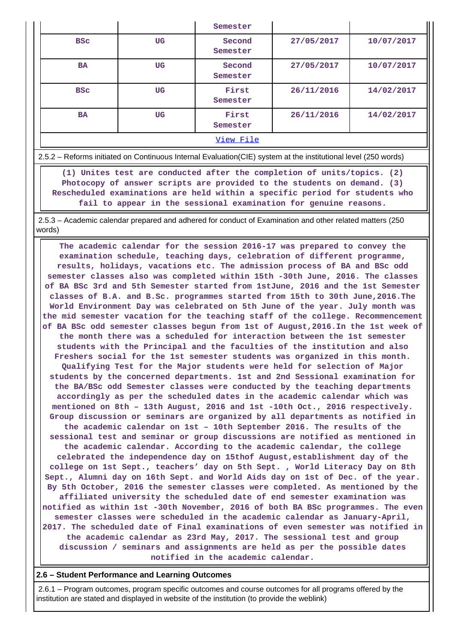|            |    | Semester           |                          |            |
|------------|----|--------------------|--------------------------|------------|
| <b>BSC</b> | UG | Second<br>Semester | 27/05/2017               | 10/07/2017 |
| <b>BA</b>  | UG | Second<br>Semester | 27/05/2017<br>10/07/2017 |            |
| <b>BSC</b> | UG | First<br>Semester  | 26/11/2016               | 14/02/2017 |
| <b>BA</b>  | UG | First<br>Semester  | 26/11/2016               | 14/02/2017 |
|            |    |                    |                          |            |

2.5.2 – Reforms initiated on Continuous Internal Evaluation(CIE) system at the institutional level (250 words)

 **(1) Unites test are conducted after the completion of units/topics. (2) Photocopy of answer scripts are provided to the students on demand. (3) Rescheduled examinations are held within a specific period for students who fail to appear in the sessional examination for genuine reasons.**

 2.5.3 – Academic calendar prepared and adhered for conduct of Examination and other related matters (250 words)

 **The academic calendar for the session 2016-17 was prepared to convey the examination schedule, teaching days, celebration of different programme, results, holidays, vacations etc. The admission process of BA and BSc odd semester classes also was completed within 15th -30th June, 2016. The classes of BA BSc 3rd and 5th Semester started from 1stJune, 2016 and the 1st Semester classes of B.A. and B.Sc. programmes started from 15th to 30th June,2016.The World Environment Day was celebrated on 5th June of the year. July month was the mid semester vacation for the teaching staff of the college. Recommencement of BA BSc odd semester classes begun from 1st of August,2016.In the 1st week of the month there was a scheduled for interaction between the 1st semester students with the Principal and the faculties of the institution and also Freshers social for the 1st semester students was organized in this month. Qualifying Test for the Major students were held for selection of Major students by the concerned departments. 1st and 2nd Sessional examination for the BA/BSc odd Semester classes were conducted by the teaching departments accordingly as per the scheduled dates in the academic calendar which was mentioned on 8th – 13th August, 2016 and 1st -10th Oct., 2016 respectively. Group discussion or seminars are organized by all departments as notified in the academic calendar on 1st – 10th September 2016. The results of the sessional test and seminar or group discussions are notified as mentioned in the academic calendar. According to the academic calendar, the college celebrated the independence day on 15thof August,establishment day of the college on 1st Sept., teachers' day on 5th Sept. , World Literacy Day on 8th Sept., Alumni day on 16th Sept. and World Aids day on 1st of Dec. of the year. By 5th October, 2016 the semester classes were completed. As mentioned by the affiliated university the scheduled date of end semester examination was notified as within 1st -30th November, 2016 of both BA BSc programmes. The even semester classes were scheduled in the academic calendar as January-April, 2017. The scheduled date of Final examinations of even semester was notified in the academic calendar as 23rd May, 2017. The sessional test and group discussion / seminars and assignments are held as per the possible dates notified in the academic calendar.**

#### **2.6 – Student Performance and Learning Outcomes**

 2.6.1 – Program outcomes, program specific outcomes and course outcomes for all programs offered by the institution are stated and displayed in website of the institution (to provide the weblink)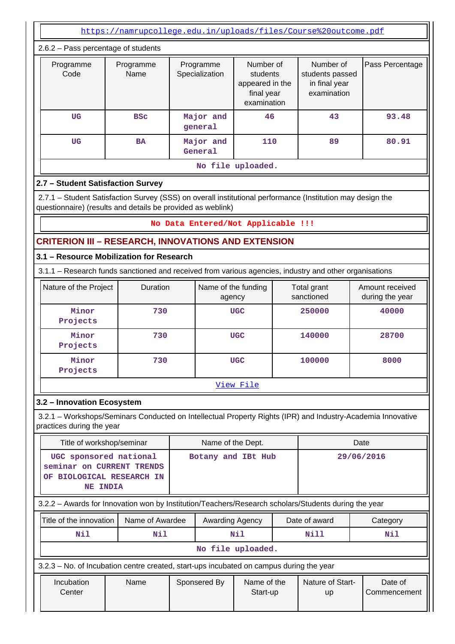<https://namrupcollege.edu.in/uploads/files/Course%20outcome.pdf>

| $2.6.2$ – Pass percentage of students |                   |                             |                                                                       |                                                              |                 |  |  |  |  |  |
|---------------------------------------|-------------------|-----------------------------|-----------------------------------------------------------------------|--------------------------------------------------------------|-----------------|--|--|--|--|--|
| Programme<br>Code                     | Programme<br>Name | Programme<br>Specialization | Number of<br>students<br>appeared in the<br>final year<br>examination | Number of<br>students passed<br>in final year<br>examination | Pass Percentage |  |  |  |  |  |
| <b>UG</b>                             | <b>BSC</b>        | Major and<br>general        | 46                                                                    | 43                                                           | 93.48           |  |  |  |  |  |
| UG<br><b>BA</b>                       |                   | Major and<br>110<br>General |                                                                       | 89                                                           | 80.91           |  |  |  |  |  |
| No file uploaded.                     |                   |                             |                                                                       |                                                              |                 |  |  |  |  |  |

# **2.7 – Student Satisfaction Survey**

 2.7.1 – Student Satisfaction Survey (SSS) on overall institutional performance (Institution may design the questionnaire) (results and details be provided as weblink)

#### **No Data Entered/Not Applicable !!!**

## **CRITERION III – RESEARCH, INNOVATIONS AND EXTENSION**

# **3.1 – Resource Mobilization for Research**

3.1.1 – Research funds sanctioned and received from various agencies, industry and other organisations

| Nature of the Project | <b>Duration</b> | Name of the funding<br>agency | Total grant<br>sanctioned | Amount received<br>during the year |
|-----------------------|-----------------|-------------------------------|---------------------------|------------------------------------|
| Minor<br>Projects     | 730             | <b>UGC</b>                    | 250000                    | 40000                              |
| Minor<br>Projects     | 730             | <b>UGC</b>                    | 140000                    | 28700                              |
| Minor<br>Projects     | 730             | <b>UGC</b>                    | 100000                    | 8000                               |

[View File](https://assessmentonline.naac.gov.in/public/Postacc/Research_Fund/9163_Research_Fund_1639906088.xlsx)

#### **3.2 – Innovation Ecosystem**

 3.2.1 – Workshops/Seminars Conducted on Intellectual Property Rights (IPR) and Industry-Academia Innovative practices during the year

| Title of workshop/seminar                                                                            |                 |                               | Name of the Dept.                       |  |                   | Date                          |                         |          |
|------------------------------------------------------------------------------------------------------|-----------------|-------------------------------|-----------------------------------------|--|-------------------|-------------------------------|-------------------------|----------|
| UGC sponsored national<br>seminar on CURRENT TRENDS<br>OF.                                           | <b>NE INDIA</b> | <b>BIOLOGICAL RESEARCH IN</b> | Botany and IBt Hub                      |  |                   |                               | 29/06/2016              |          |
| 3.2.2 - Awards for Innovation won by Institution/Teachers/Research scholars/Students during the year |                 |                               |                                         |  |                   |                               |                         |          |
| Title of the innovation<br>Name of Awardee                                                           |                 |                               | Awarding Agency                         |  |                   | Date of award                 |                         | Category |
| Nil                                                                                                  |                 | Nil                           |                                         |  | Nil               |                               | Nill                    | Nil      |
|                                                                                                      |                 |                               |                                         |  | No file uploaded. |                               |                         |          |
| 3.2.3 – No. of Incubation centre created, start-ups incubated on campus during the year              |                 |                               |                                         |  |                   |                               |                         |          |
| Incubation<br>Center                                                                                 |                 | Name                          | Name of the<br>Sponsered By<br>Start-up |  |                   | Nature of Start-<br><b>up</b> | Date of<br>Commencement |          |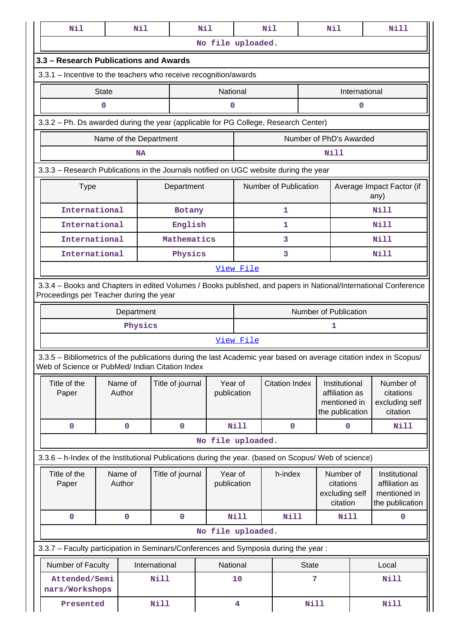| Nil                                                                                                                                                                   |              | Nil                    |                  | Nil |                        |                   | Nil                   |              | Nil                                                                |             | Nill                                                               |
|-----------------------------------------------------------------------------------------------------------------------------------------------------------------------|--------------|------------------------|------------------|-----|------------------------|-------------------|-----------------------|--------------|--------------------------------------------------------------------|-------------|--------------------------------------------------------------------|
|                                                                                                                                                                       |              |                        |                  |     |                        | No file uploaded. |                       |              |                                                                    |             |                                                                    |
| 3.3 - Research Publications and Awards                                                                                                                                |              |                        |                  |     |                        |                   |                       |              |                                                                    |             |                                                                    |
| 3.3.1 - Incentive to the teachers who receive recognition/awards                                                                                                      |              |                        |                  |     |                        |                   |                       |              |                                                                    |             |                                                                    |
|                                                                                                                                                                       | <b>State</b> |                        |                  |     | National               | International     |                       |              |                                                                    |             |                                                                    |
|                                                                                                                                                                       | $\mathbf 0$  |                        |                  |     | 0                      |                   |                       |              |                                                                    | 0           |                                                                    |
| 3.3.2 - Ph. Ds awarded during the year (applicable for PG College, Research Center)                                                                                   |              |                        |                  |     |                        |                   |                       |              |                                                                    |             |                                                                    |
|                                                                                                                                                                       |              | Name of the Department |                  |     |                        |                   |                       |              | Number of PhD's Awarded                                            |             |                                                                    |
|                                                                                                                                                                       |              | <b>NA</b>              |                  |     |                        |                   |                       |              | Nill                                                               |             |                                                                    |
| 3.3.3 - Research Publications in the Journals notified on UGC website during the year                                                                                 |              |                        |                  |     |                        |                   |                       |              |                                                                    |             |                                                                    |
| <b>Type</b>                                                                                                                                                           |              |                        | Department       |     |                        |                   | Number of Publication |              |                                                                    |             | Average Impact Factor (if<br>any)                                  |
| International                                                                                                                                                         |              |                        | Botany           |     |                        |                   | 1                     |              |                                                                    |             | Nill                                                               |
| International                                                                                                                                                         |              |                        | English          |     |                        |                   | 1                     |              |                                                                    |             | <b>Nill</b>                                                        |
| International                                                                                                                                                         |              |                        | Mathematics      |     |                        |                   | 3                     |              |                                                                    |             | <b>Nill</b>                                                        |
| International                                                                                                                                                         |              |                        | Physics          |     |                        |                   | 3                     |              |                                                                    |             | Nill                                                               |
|                                                                                                                                                                       |              |                        |                  |     |                        | View File         |                       |              |                                                                    |             |                                                                    |
| 3.3.4 - Books and Chapters in edited Volumes / Books published, and papers in National/International Conference<br>Proceedings per Teacher during the year            |              |                        |                  |     |                        |                   |                       |              |                                                                    |             |                                                                    |
|                                                                                                                                                                       |              | Department             |                  |     |                        |                   |                       |              | Number of Publication                                              |             |                                                                    |
|                                                                                                                                                                       |              | Physics                |                  |     |                        |                   |                       |              | 1                                                                  |             |                                                                    |
|                                                                                                                                                                       |              |                        |                  |     |                        | View File         |                       |              |                                                                    |             |                                                                    |
| 3.3.5 - Bibliometrics of the publications during the last Academic year based on average citation index in Scopus/<br>Web of Science or PubMed/ Indian Citation Index |              |                        |                  |     |                        |                   |                       |              |                                                                    |             |                                                                    |
| Title of the<br>Paper                                                                                                                                                 |              | Name of<br>Author      | Title of journal |     | Year of<br>publication |                   | <b>Citation Index</b> |              | Institutional<br>affiliation as<br>mentioned in<br>the publication |             | Number of<br>citations<br>excluding self<br>citation               |
| 0                                                                                                                                                                     |              | $\pmb{0}$              | $\pmb{0}$        |     |                        | <b>Nill</b>       | $\mathbf{O}$          |              | $\pmb{0}$                                                          |             | <b>Nill</b>                                                        |
|                                                                                                                                                                       |              |                        |                  |     |                        | No file uploaded. |                       |              |                                                                    |             |                                                                    |
| 3.3.6 - h-Index of the Institutional Publications during the year. (based on Scopus/ Web of science)                                                                  |              |                        |                  |     |                        |                   |                       |              |                                                                    |             |                                                                    |
| Title of the<br>Paper                                                                                                                                                 |              | Name of<br>Author      | Title of journal |     | Year of<br>publication |                   | h-index               |              | Number of<br>citations<br>excluding self<br>citation               |             | Institutional<br>affiliation as<br>mentioned in<br>the publication |
| 0                                                                                                                                                                     |              | 0                      | 0                |     |                        | <b>Nill</b>       | Nill                  |              | Nill                                                               |             | 0                                                                  |
|                                                                                                                                                                       |              |                        |                  |     |                        | No file uploaded. |                       |              |                                                                    |             |                                                                    |
| 3.3.7 - Faculty participation in Seminars/Conferences and Symposia during the year:                                                                                   |              |                        |                  |     |                        |                   |                       |              |                                                                    |             |                                                                    |
| Number of Faculty                                                                                                                                                     |              |                        | International    |     | National               |                   |                       | <b>State</b> |                                                                    |             | Local                                                              |
| Attended/Semi<br>nars/Workshops                                                                                                                                       |              |                        | Nill             |     |                        | 10                |                       | 7            |                                                                    | <b>Nill</b> |                                                                    |
| Presented                                                                                                                                                             |              |                        | <b>Nill</b>      |     |                        | 4                 |                       | <b>Nill</b>  |                                                                    |             | Nill                                                               |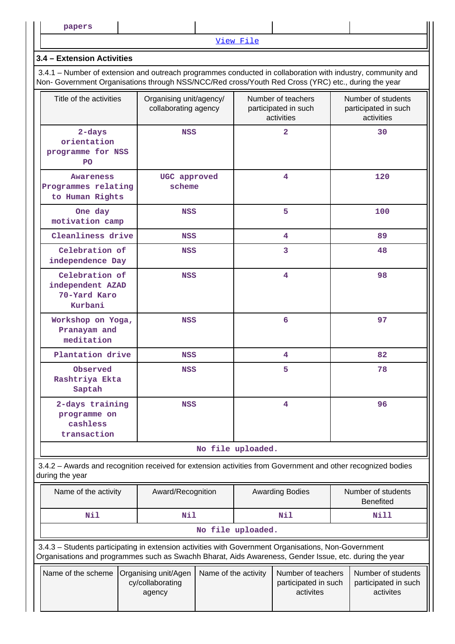[View File](https://assessmentonline.naac.gov.in/public/Postacc/Faculty_participation/9163_Faculty_participation_1630001359.xlsx)

## **3.4 – Extension Activities**

 3.4.1 – Number of extension and outreach programmes conducted in collaboration with industry, community and Non- Government Organisations through NSS/NCC/Red cross/Youth Red Cross (YRC) etc., during the year

| Title of the activities                                                                                                         | Organising unit/agency/<br>collaborating agency                                                                                                                                                                | Number of teachers<br>participated in such<br>activities | Number of students<br>participated in such<br>activities |  |  |  |  |  |
|---------------------------------------------------------------------------------------------------------------------------------|----------------------------------------------------------------------------------------------------------------------------------------------------------------------------------------------------------------|----------------------------------------------------------|----------------------------------------------------------|--|--|--|--|--|
| $2$ -days<br>orientation<br>programme for NSS<br>P <sub>O</sub>                                                                 | <b>NSS</b>                                                                                                                                                                                                     | $\overline{2}$                                           | 30                                                       |  |  |  |  |  |
| Awareness<br>Programmes relating<br>to Human Rights                                                                             | UGC approved<br>scheme                                                                                                                                                                                         | 4                                                        | 120                                                      |  |  |  |  |  |
| One day<br>motivation camp                                                                                                      | <b>NSS</b>                                                                                                                                                                                                     | 5                                                        | 100                                                      |  |  |  |  |  |
| Cleanliness drive                                                                                                               | NSS                                                                                                                                                                                                            | 4                                                        | 89                                                       |  |  |  |  |  |
| Celebration of<br>independence Day                                                                                              | <b>NSS</b>                                                                                                                                                                                                     | $\overline{3}$                                           | 48                                                       |  |  |  |  |  |
| Celebration of<br>independent AZAD<br>70-Yard Karo<br>Kurbani                                                                   | <b>NSS</b>                                                                                                                                                                                                     | 4                                                        | 98                                                       |  |  |  |  |  |
| Workshop on Yoga,<br>Pranayam and<br>meditation                                                                                 | <b>NSS</b>                                                                                                                                                                                                     | 6                                                        | 97                                                       |  |  |  |  |  |
| Plantation drive                                                                                                                | NSS                                                                                                                                                                                                            | 4                                                        | 82                                                       |  |  |  |  |  |
| Observed<br>Rashtriya Ekta<br>Saptah                                                                                            | NSS                                                                                                                                                                                                            | 5                                                        | 78                                                       |  |  |  |  |  |
| 2-days training<br>programme on<br>cashless<br>transaction                                                                      | <b>NSS</b>                                                                                                                                                                                                     | $\overline{4}$                                           | 96                                                       |  |  |  |  |  |
|                                                                                                                                 |                                                                                                                                                                                                                | No file uploaded.                                        |                                                          |  |  |  |  |  |
| 3.4.2 - Awards and recognition received for extension activities from Government and other recognized bodies<br>during the year |                                                                                                                                                                                                                |                                                          |                                                          |  |  |  |  |  |
| Name of the activity                                                                                                            | Award/Recognition                                                                                                                                                                                              | <b>Awarding Bodies</b>                                   | Number of students<br><b>Benefited</b>                   |  |  |  |  |  |
| <b>Nil</b>                                                                                                                      | <b>Nil</b>                                                                                                                                                                                                     | Nil                                                      | <b>Nill</b>                                              |  |  |  |  |  |
|                                                                                                                                 |                                                                                                                                                                                                                | No file uploaded.                                        |                                                          |  |  |  |  |  |
|                                                                                                                                 | 3.4.3 - Students participating in extension activities with Government Organisations, Non-Government<br>Organisations and programmes such as Swachh Bharat, Aids Awareness, Gender Issue, etc. during the year |                                                          |                                                          |  |  |  |  |  |

|  | Name of the scheme   Organising unit/Agen   Name of the activity<br>cy/collaborating | Number of teachers<br>participated in such | Number of students<br>participated in such |  |
|--|--------------------------------------------------------------------------------------|--------------------------------------------|--------------------------------------------|--|
|  | agency                                                                               | activites                                  | activites                                  |  |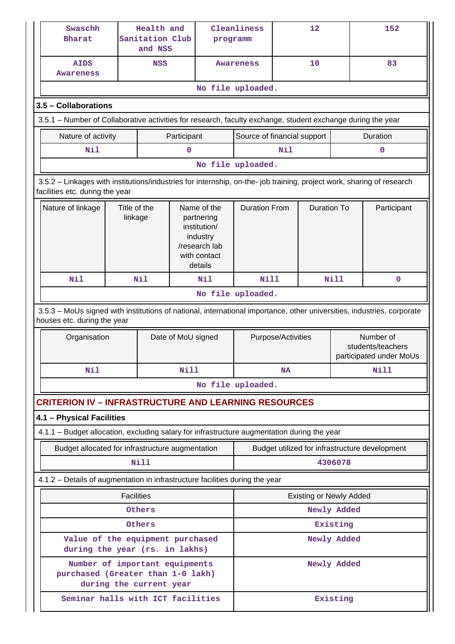| Swaschh<br><b>Bharat</b>                                                                                                                                 |                         | Health and<br>Sanitation Club<br>and NSS |                    | programm                                                                                          | Cleanliness                 |          | 12                             |                                                           | 152                                            |
|----------------------------------------------------------------------------------------------------------------------------------------------------------|-------------------------|------------------------------------------|--------------------|---------------------------------------------------------------------------------------------------|-----------------------------|----------|--------------------------------|-----------------------------------------------------------|------------------------------------------------|
| <b>AIDS</b><br>Awareness                                                                                                                                 |                         | <b>NSS</b>                               |                    |                                                                                                   | Awareness                   |          | 10                             |                                                           | 83                                             |
|                                                                                                                                                          |                         |                                          |                    |                                                                                                   | No file uploaded.           |          |                                |                                                           |                                                |
| 3.5 - Collaborations                                                                                                                                     |                         |                                          |                    |                                                                                                   |                             |          |                                |                                                           |                                                |
| 3.5.1 – Number of Collaborative activities for research, faculty exchange, student exchange during the year                                              |                         |                                          |                    |                                                                                                   |                             |          |                                |                                                           |                                                |
| Nature of activity                                                                                                                                       |                         |                                          | Participant        |                                                                                                   | Source of financial support |          |                                |                                                           | Duration                                       |
| Nil                                                                                                                                                      |                         |                                          | $\mathbf 0$        |                                                                                                   |                             | Nil      |                                |                                                           | 0                                              |
|                                                                                                                                                          |                         |                                          |                    |                                                                                                   | No file uploaded.           |          |                                |                                                           |                                                |
| 3.5.2 - Linkages with institutions/industries for internship, on-the- job training, project work, sharing of research<br>facilities etc. during the year |                         |                                          |                    |                                                                                                   |                             |          |                                |                                                           |                                                |
| Nature of linkage                                                                                                                                        | Title of the<br>linkage |                                          |                    | Name of the<br>partnering<br>institution/<br>industry<br>/research lab<br>with contact<br>details | <b>Duration From</b>        |          | <b>Duration To</b>             |                                                           | Participant                                    |
| Nil                                                                                                                                                      |                         | Nil                                      |                    | Nil                                                                                               | <b>Nill</b>                 |          | <b>Nill</b>                    |                                                           | $\mathbf 0$                                    |
|                                                                                                                                                          |                         |                                          |                    | No file uploaded.                                                                                 |                             |          |                                |                                                           |                                                |
| 3.5.3 - MoUs signed with institutions of national, international importance, other universities, industries, corporate<br>houses etc. during the year    |                         |                                          |                    |                                                                                                   |                             |          |                                |                                                           |                                                |
| Organisation                                                                                                                                             |                         |                                          | Date of MoU signed | Purpose/Activities                                                                                |                             |          |                                | Number of<br>students/teachers<br>participated under MoUs |                                                |
| Nil                                                                                                                                                      |                         |                                          | <b>Nill</b>        |                                                                                                   | <b>NA</b>                   |          |                                | Nill                                                      |                                                |
|                                                                                                                                                          |                         |                                          |                    |                                                                                                   | No file uploaded.           |          |                                |                                                           |                                                |
| <b>CRITERION IV - INFRASTRUCTURE AND LEARNING RESOURCES</b>                                                                                              |                         |                                          |                    |                                                                                                   |                             |          |                                |                                                           |                                                |
| 4.1 - Physical Facilities                                                                                                                                |                         |                                          |                    |                                                                                                   |                             |          |                                |                                                           |                                                |
| 4.1.1 - Budget allocation, excluding salary for infrastructure augmentation during the year                                                              |                         |                                          |                    |                                                                                                   |                             |          |                                |                                                           |                                                |
| Budget allocated for infrastructure augmentation                                                                                                         |                         |                                          |                    |                                                                                                   |                             |          |                                |                                                           | Budget utilized for infrastructure development |
|                                                                                                                                                          |                         | Nill                                     |                    |                                                                                                   |                             |          | 4306078                        |                                                           |                                                |
| 4.1.2 - Details of augmentation in infrastructure facilities during the year                                                                             |                         |                                          |                    |                                                                                                   |                             |          |                                |                                                           |                                                |
|                                                                                                                                                          | <b>Facilities</b>       |                                          |                    |                                                                                                   |                             |          | <b>Existing or Newly Added</b> |                                                           |                                                |
| Others                                                                                                                                                   |                         |                                          |                    |                                                                                                   |                             |          | Newly Added                    |                                                           |                                                |
| Others                                                                                                                                                   |                         |                                          |                    |                                                                                                   |                             | Existing |                                |                                                           |                                                |
| Value of the equipment purchased<br>during the year (rs. in lakhs)                                                                                       |                         |                                          |                    |                                                                                                   |                             |          | Newly Added                    |                                                           |                                                |
| Number of important equipments<br>purchased (Greater than 1-0 lakh)<br>during the current year                                                           |                         |                                          |                    |                                                                                                   |                             |          | Newly Added                    |                                                           |                                                |
| Seminar halls with ICT facilities                                                                                                                        |                         |                                          |                    |                                                                                                   |                             |          | Existing                       |                                                           |                                                |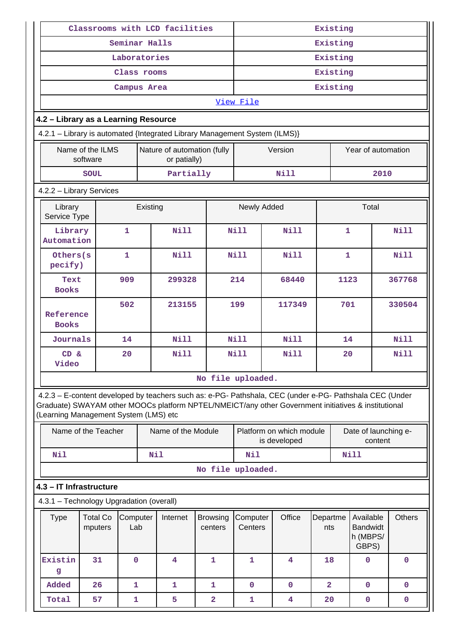| Classrooms with LCD facilities                                                                                                                                                                                                                          |                                               |              |          |                                             |                            | Existing            |                                          |                 |                                                   |               |  |
|---------------------------------------------------------------------------------------------------------------------------------------------------------------------------------------------------------------------------------------------------------|-----------------------------------------------|--------------|----------|---------------------------------------------|----------------------------|---------------------|------------------------------------------|-----------------|---------------------------------------------------|---------------|--|
| Seminar Halls                                                                                                                                                                                                                                           |                                               |              |          |                                             |                            |                     | Existing                                 |                 |                                                   |               |  |
|                                                                                                                                                                                                                                                         | Laboratories                                  |              | Existing |                                             |                            |                     |                                          |                 |                                                   |               |  |
|                                                                                                                                                                                                                                                         | Class rooms                                   |              | Existing |                                             |                            |                     |                                          |                 |                                                   |               |  |
|                                                                                                                                                                                                                                                         |                                               | Campus Area  |          |                                             |                            |                     |                                          | Existing        |                                                   |               |  |
|                                                                                                                                                                                                                                                         |                                               |              |          |                                             |                            | View File           |                                          |                 |                                                   |               |  |
| 4.2 - Library as a Learning Resource                                                                                                                                                                                                                    |                                               |              |          |                                             |                            |                     |                                          |                 |                                                   |               |  |
| 4.2.1 - Library is automated {Integrated Library Management System (ILMS)}                                                                                                                                                                              |                                               |              |          |                                             |                            |                     |                                          |                 |                                                   |               |  |
|                                                                                                                                                                                                                                                         | Name of the ILMS<br>software                  |              |          | Nature of automation (fully<br>or patially) |                            |                     | Version                                  |                 | Year of automation                                |               |  |
|                                                                                                                                                                                                                                                         | <b>SOUL</b>                                   |              |          | Partially                                   |                            |                     | <b>Nill</b>                              |                 | 2010                                              |               |  |
| 4.2.2 - Library Services                                                                                                                                                                                                                                |                                               |              |          |                                             |                            |                     |                                          |                 |                                                   |               |  |
| Library<br>Service Type                                                                                                                                                                                                                                 |                                               |              | Existing |                                             |                            | Newly Added         |                                          |                 | Total                                             |               |  |
| Library<br>Automation                                                                                                                                                                                                                                   |                                               | 1            |          | <b>Nill</b>                                 |                            | Nill                | Nill                                     |                 | 1                                                 | <b>Nill</b>   |  |
| Others(s<br>pecify)                                                                                                                                                                                                                                     |                                               | $\mathbf{1}$ |          | <b>Nill</b>                                 |                            | <b>Nill</b>         | Nill                                     |                 | $\mathbf{1}$                                      | <b>Nill</b>   |  |
| Text<br><b>Books</b>                                                                                                                                                                                                                                    | 909                                           |              |          | 299328                                      |                            | 214<br>68440        |                                          |                 | 1123                                              | 367768        |  |
| <b>Books</b>                                                                                                                                                                                                                                            | 502<br>Reference                              |              |          | 213155                                      |                            | 199<br>117349       |                                          |                 | 701                                               | 330504        |  |
|                                                                                                                                                                                                                                                         | Journals<br>14                                |              |          | <b>Nill</b>                                 |                            | <b>Nill</b>         | Nill                                     |                 | 14                                                | <b>Nill</b>   |  |
| CD &<br>Video                                                                                                                                                                                                                                           |                                               | 20           |          | <b>Nill</b>                                 |                            | <b>Nill</b>         | <b>Nill</b>                              |                 | 20                                                | Nill          |  |
|                                                                                                                                                                                                                                                         |                                               |              |          |                                             | No file uploaded.          |                     |                                          |                 |                                                   |               |  |
| 4.2.3 - E-content developed by teachers such as: e-PG- Pathshala, CEC (under e-PG- Pathshala CEC (Under<br>Graduate) SWAYAM other MOOCs platform NPTEL/NMEICT/any other Government initiatives & institutional<br>(Learning Management System (LMS) etc |                                               |              |          |                                             |                            |                     |                                          |                 |                                                   |               |  |
|                                                                                                                                                                                                                                                         | Name of the Teacher                           |              |          | Name of the Module                          |                            |                     | Platform on which module<br>is developed |                 | Date of launching e-<br>content                   |               |  |
| Nil                                                                                                                                                                                                                                                     |                                               |              | Nil      |                                             |                            | Nil                 |                                          |                 | <b>Nill</b>                                       |               |  |
|                                                                                                                                                                                                                                                         |                                               |              |          |                                             | No file uploaded.          |                     |                                          |                 |                                                   |               |  |
| 4.3 - IT Infrastructure                                                                                                                                                                                                                                 |                                               |              |          |                                             |                            |                     |                                          |                 |                                                   |               |  |
| 4.3.1 - Technology Upgradation (overall)                                                                                                                                                                                                                |                                               |              |          |                                             |                            |                     |                                          |                 |                                                   |               |  |
| <b>Type</b>                                                                                                                                                                                                                                             | Computer<br><b>Total Co</b><br>Lab<br>mputers |              |          | Internet                                    | <b>Browsing</b><br>centers | Computer<br>Centers | Office                                   | Departme<br>nts | Available<br><b>Bandwidt</b><br>h (MBPS/<br>GBPS) | <b>Others</b> |  |
| Existin<br>g                                                                                                                                                                                                                                            | 31                                            | $\mathbf 0$  |          | 4                                           | 1                          | $\mathbf{1}$        | 4                                        | 18              | 0                                                 | $\mathbf 0$   |  |
| Added                                                                                                                                                                                                                                                   | 26                                            | 1            |          | 1                                           | 1                          | $\mathbf 0$         | $\mathbf 0$                              | $\overline{a}$  | $\mathbf 0$                                       | $\mathbf 0$   |  |
| Total                                                                                                                                                                                                                                                   | 57                                            | 1            |          | 5                                           | $\overline{\mathbf{2}}$    | 1                   | 4                                        | 20              | $\mathbf{0}$                                      | 0             |  |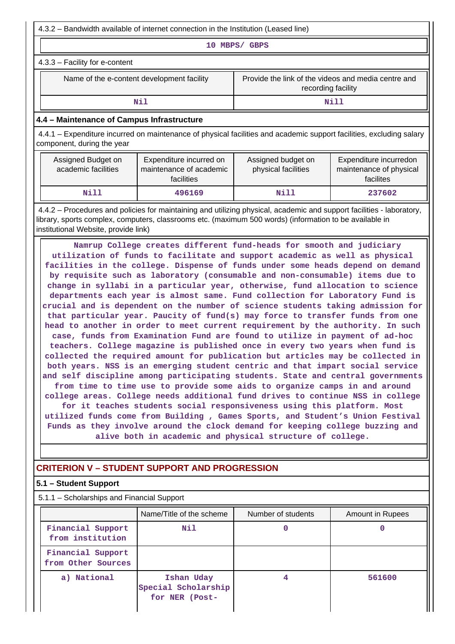4.3.2 – Bandwidth available of internet connection in the Institution (Leased line)

**10 MBPS/ GBPS**

4.3.3 – Facility for e-content

Name of the e-content development facility Frovide the link of the videos and media centre and recording facility

**Nill** Nill

#### **4.4 – Maintenance of Campus Infrastructure**

 4.4.1 – Expenditure incurred on maintenance of physical facilities and academic support facilities, excluding salary component, during the year

| Assigned Budget on<br>academic facilities | Expenditure incurred on<br>maintenance of academic<br>facilities | Assigned budget on<br>physical facilities | Expenditure incurredon<br>maintenance of physical<br>facilites |
|-------------------------------------------|------------------------------------------------------------------|-------------------------------------------|----------------------------------------------------------------|
| Nill                                      | 496169                                                           | Nill                                      | 237602                                                         |

 4.4.2 – Procedures and policies for maintaining and utilizing physical, academic and support facilities - laboratory, library, sports complex, computers, classrooms etc. (maximum 500 words) (information to be available in institutional Website, provide link)

 **Namrup College creates different fund-heads for smooth and judiciary utilization of funds to facilitate and support academic as well as physical facilities in the college. Dispense of funds under some heads depend on demand by requisite such as laboratory (consumable and non-consumable) items due to change in syllabi in a particular year, otherwise, fund allocation to science departments each year is almost same. Fund collection for Laboratory Fund is crucial and is dependent on the number of science students taking admission for that particular year. Paucity of fund(s) may force to transfer funds from one head to another in order to meet current requirement by the authority. In such case, funds from Examination Fund are found to utilize in payment of ad-hoc teachers. College magazine is published once in every two years when fund is collected the required amount for publication but articles may be collected in both years. NSS is an emerging student centric and that impart social service and self discipline among participating students. State and central governments from time to time use to provide some aids to organize camps in and around college areas. College needs additional fund drives to continue NSS in college for it teaches students social responsiveness using this platform. Most utilized funds come from Building , Games Sports, and Student's Union Festival Funds as they involve around the clock demand for keeping college buzzing and alive both in academic and physical structure of college.**

# **CRITERION V – STUDENT SUPPORT AND PROGRESSION**

#### **5.1 – Student Support**

5.1.1 – Scholarships and Financial Support

|                                         | Name/Title of the scheme                            | Number of students | <b>Amount in Rupees</b> |
|-----------------------------------------|-----------------------------------------------------|--------------------|-------------------------|
| Financial Support<br>from institution   | Nil                                                 | 0                  |                         |
| Financial Support<br>from Other Sources |                                                     |                    |                         |
| a) National                             | Ishan Uday<br>Special Scholarship<br>for NER (Post- |                    | 561600                  |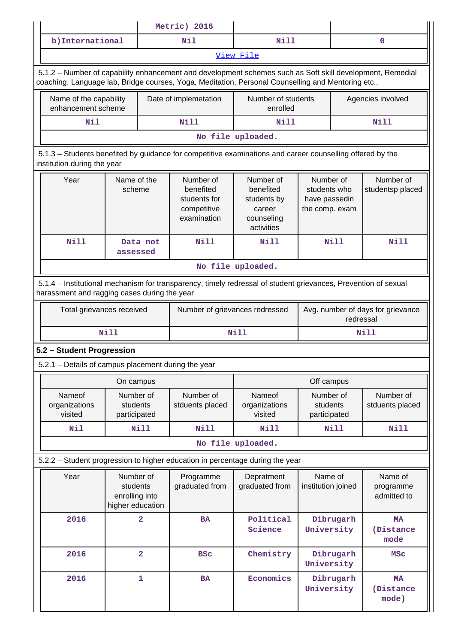|                                                                                                    |                                                             |                         | Metric) 2016                                                                                                   |                                                                             |                                                              |           |                                                |  |  |
|----------------------------------------------------------------------------------------------------|-------------------------------------------------------------|-------------------------|----------------------------------------------------------------------------------------------------------------|-----------------------------------------------------------------------------|--------------------------------------------------------------|-----------|------------------------------------------------|--|--|
| b) International                                                                                   |                                                             |                         | Nil                                                                                                            | Nill                                                                        |                                                              |           | $\mathbf 0$                                    |  |  |
|                                                                                                    |                                                             |                         |                                                                                                                | View File                                                                   |                                                              |           |                                                |  |  |
| coaching, Language lab, Bridge courses, Yoga, Meditation, Personal Counselling and Mentoring etc., |                                                             |                         | 5.1.2 - Number of capability enhancement and development schemes such as Soft skill development, Remedial      |                                                                             |                                                              |           |                                                |  |  |
| Name of the capability<br>enhancement scheme                                                       |                                                             |                         | Date of implemetation                                                                                          | Number of students<br>enrolled                                              |                                                              |           | Agencies involved                              |  |  |
| Nil                                                                                                |                                                             |                         | <b>Nill</b>                                                                                                    | Nill                                                                        |                                                              |           | Nill                                           |  |  |
|                                                                                                    |                                                             |                         |                                                                                                                | No file uploaded.                                                           |                                                              |           |                                                |  |  |
| institution during the year                                                                        |                                                             |                         | 5.1.3 - Students benefited by guidance for competitive examinations and career counselling offered by the      |                                                                             |                                                              |           |                                                |  |  |
| Year                                                                                               | Name of the<br>scheme                                       |                         | Number of<br>benefited<br>students for<br>competitive<br>examination                                           | Number of<br>benefited<br>students by<br>career<br>counseling<br>activities | Number of<br>students who<br>have passedin<br>the comp. exam |           | Number of<br>studentsp placed                  |  |  |
| <b>Nill</b>                                                                                        | assessed                                                    | Data not                | Nill                                                                                                           | Nill                                                                        | <b>Nill</b>                                                  |           | Nill                                           |  |  |
|                                                                                                    |                                                             |                         |                                                                                                                | No file uploaded.                                                           |                                                              |           |                                                |  |  |
| harassment and ragging cases during the year                                                       |                                                             |                         | 5.1.4 – Institutional mechanism for transparency, timely redressal of student grievances, Prevention of sexual |                                                                             |                                                              |           |                                                |  |  |
|                                                                                                    | Total grievances received                                   |                         |                                                                                                                | Number of grievances redressed                                              |                                                              |           | Avg. number of days for grievance<br>redressal |  |  |
|                                                                                                    | <b>Nill</b>                                                 |                         |                                                                                                                | Nill                                                                        |                                                              |           | Nill                                           |  |  |
| 5.2 - Student Progression                                                                          |                                                             |                         |                                                                                                                |                                                                             |                                                              |           |                                                |  |  |
| 5.2.1 - Details of campus placement during the year                                                |                                                             |                         |                                                                                                                |                                                                             |                                                              |           |                                                |  |  |
|                                                                                                    | On campus                                                   |                         |                                                                                                                |                                                                             | Off campus                                                   |           |                                                |  |  |
| Nameof<br>organizations<br>visited                                                                 | Number of<br>students<br>participated                       |                         | Number of<br>stduents placed                                                                                   | Nameof<br>organizations<br>visited                                          | Number of<br>students<br>participated                        |           | Number of<br>stduents placed                   |  |  |
| Nil                                                                                                |                                                             | Nill                    | Nill                                                                                                           | <b>Nill</b>                                                                 |                                                              | Nill      | Nill                                           |  |  |
|                                                                                                    |                                                             |                         |                                                                                                                | No file uploaded.                                                           |                                                              |           |                                                |  |  |
|                                                                                                    |                                                             |                         | 5.2.2 - Student progression to higher education in percentage during the year                                  |                                                                             |                                                              |           |                                                |  |  |
| Year                                                                                               | Number of<br>students<br>enrolling into<br>higher education |                         | Programme<br>graduated from                                                                                    | Depratment<br>graduated from                                                | Name of<br>institution joined                                |           | Name of<br>programme<br>admitted to            |  |  |
| 2016                                                                                               |                                                             | $\overline{\mathbf{2}}$ | <b>BA</b>                                                                                                      | Political<br>Science                                                        | University                                                   | Dibrugarh | <b>MA</b><br>(Distance<br>mode                 |  |  |
| 2016                                                                                               |                                                             | $\overline{\mathbf{2}}$ | <b>BSC</b>                                                                                                     | Chemistry                                                                   | University                                                   | Dibrugarh | <b>MSC</b>                                     |  |  |
| 2016                                                                                               |                                                             | $\mathbf 1$             | BA                                                                                                             | Economics                                                                   | University                                                   | Dibrugarh | <b>MA</b><br>(Distance<br>mode)                |  |  |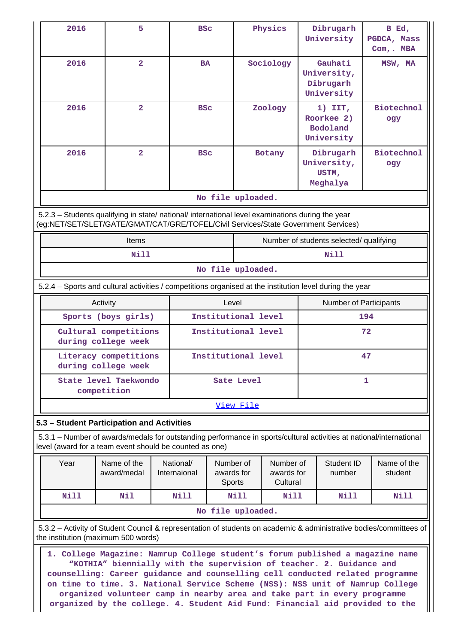| 2016                                                                                                                                                                                          | 5                                            |      | <b>BSC</b>          |            | Physics   |  | Dibrugarh<br>University                           |     | B Ed,<br>PGDCA, Mass<br>Com, . MBA |  |
|-----------------------------------------------------------------------------------------------------------------------------------------------------------------------------------------------|----------------------------------------------|------|---------------------|------------|-----------|--|---------------------------------------------------|-----|------------------------------------|--|
| 2016                                                                                                                                                                                          | $\overline{a}$                               |      | <b>BA</b>           |            | Sociology |  | Gauhati<br>University,<br>Dibrugarh<br>University |     | MSW, MA                            |  |
| 2016                                                                                                                                                                                          | $\overline{a}$                               |      | <b>BSC</b>          |            | Zoology   |  | $1)$ IIT,<br>Roorkee 2)<br>Bodoland<br>University |     | Biotechnol<br>ogy                  |  |
| 2016                                                                                                                                                                                          | $\overline{2}$                               |      | <b>BSC</b>          |            | Botany    |  | Dibrugarh<br>University,<br>USTM,<br>Meghalya     |     | Biotechnol<br>ogy                  |  |
|                                                                                                                                                                                               |                                              |      | No file uploaded.   |            |           |  |                                                   |     |                                    |  |
| 5.2.3 - Students qualifying in state/ national/ international level examinations during the year<br>(eg:NET/SET/SLET/GATE/GMAT/CAT/GRE/TOFEL/Civil Services/State Government Services)        |                                              |      |                     |            |           |  |                                                   |     |                                    |  |
| Items<br>Number of students selected/ qualifying                                                                                                                                              |                                              |      |                     |            |           |  |                                                   |     |                                    |  |
|                                                                                                                                                                                               | <b>Nill</b>                                  |      |                     |            |           |  | <b>Nill</b>                                       |     |                                    |  |
|                                                                                                                                                                                               |                                              |      | No file uploaded.   |            |           |  |                                                   |     |                                    |  |
| 5.2.4 – Sports and cultural activities / competitions organised at the institution level during the year                                                                                      |                                              |      |                     |            |           |  |                                                   |     |                                    |  |
|                                                                                                                                                                                               | Activity                                     |      |                     | Level      |           |  | <b>Number of Participants</b>                     |     |                                    |  |
|                                                                                                                                                                                               | Sports (boys girls)                          |      | Institutional level |            |           |  |                                                   | 194 |                                    |  |
|                                                                                                                                                                                               | Cultural competitions<br>during college week |      | Institutional level |            |           |  |                                                   | 72  |                                    |  |
|                                                                                                                                                                                               | Literacy competitions<br>during college week |      | Institutional level |            |           |  |                                                   | 47  |                                    |  |
|                                                                                                                                                                                               | State level Taekwondo<br>competition         |      |                     | Sate Level |           |  |                                                   | 1   |                                    |  |
|                                                                                                                                                                                               |                                              |      |                     | View File  |           |  |                                                   |     |                                    |  |
| 5.3 - Student Participation and Activities                                                                                                                                                    |                                              |      |                     |            |           |  |                                                   |     |                                    |  |
| 5.3.1 – Number of awards/medals for outstanding performance in sports/cultural activities at national/international<br>level (award for a team event should be counted as one)                |                                              |      |                     |            |           |  |                                                   |     |                                    |  |
| Year<br>Name of the<br>National/<br>Number of<br>Number of<br>Student ID<br>Name of the<br>awards for<br>award/medal<br>Internaional<br>awards for<br>number<br>student<br>Sports<br>Cultural |                                              |      |                     |            |           |  |                                                   |     |                                    |  |
| Nill                                                                                                                                                                                          | Nil                                          | Nill |                     | Nill       | Nill      |  | Nill                                              |     | Nill                               |  |
|                                                                                                                                                                                               |                                              |      | No file uploaded.   |            |           |  |                                                   |     |                                    |  |
| 5.3.2 - Activity of Student Council & representation of students on academic & administrative bodies/committees of                                                                            |                                              |      |                     |            |           |  |                                                   |     |                                    |  |
| the institution (maximum 500 words)<br>1. College Magazine: Namrup College student's forum published a magazine name<br>"KOTHIA" biennially with the supervision of teacher. 2. Guidance and  |                                              |      |                     |            |           |  |                                                   |     |                                    |  |

**counselling: Career guidance and counselling cell conducted related programme on time to time. 3. National Service Scheme (NSS): NSS unit of Namrup College organized volunteer camp in nearby area and take part in every programme organized by the college. 4. Student Aid Fund: Financial aid provided to the**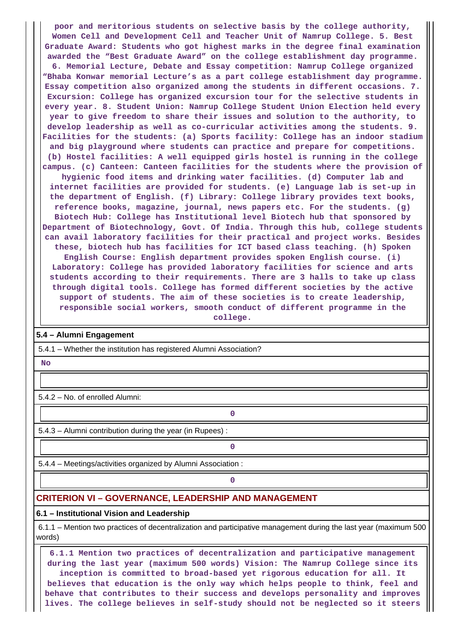**poor and meritorious students on selective basis by the college authority, Women Cell and Development Cell and Teacher Unit of Namrup College. 5. Best Graduate Award: Students who got highest marks in the degree final examination awarded the "Best Graduate Award" on the college establishment day programme. 6. Memorial Lecture, Debate and Essay competition: Namrup College organized "Bhaba Konwar memorial Lecture's as a part college establishment day programme. Essay competition also organized among the students in different occasions. 7. Excursion: College has organized excursion tour for the selective students in every year. 8. Student Union: Namrup College Student Union Election held every year to give freedom to share their issues and solution to the authority, to develop leadership as well as co-curricular activities among the students. 9. Facilities for the students: (a) Sports facility: College has an indoor stadium and big playground where students can practice and prepare for competitions. (b) Hostel facilities: A well equipped girls hostel is running in the college campus. (c) Canteen: Canteen facilities for the students where the provision of hygienic food items and drinking water facilities. (d) Computer lab and internet facilities are provided for students. (e) Language lab is set-up in the department of English. (f) Library: College library provides text books, reference books, magazine, journal, news papers etc. For the students. (g) Biotech Hub: College has Institutional level Biotech hub that sponsored by Department of Biotechnology, Govt. Of India. Through this hub, college students can avail laboratory facilities for their practical and project works. Besides these, biotech hub has facilities for ICT based class teaching. (h) Spoken English Course: English department provides spoken English course. (i) Laboratory: College has provided laboratory facilities for science and arts students according to their requirements. There are 3 halls to take up class through digital tools. College has formed different societies by the active support of students. The aim of these societies is to create leadership,**

**responsible social workers, smooth conduct of different programme in the college.**

#### **5.4 – Alumni Engagement**

5.4.1 – Whether the institution has registered Alumni Association?

 **No**

5.4.2 – No. of enrolled Alumni:

5.4.3 – Alumni contribution during the year (in Rupees) :

**0**

**0**

5.4.4 – Meetings/activities organized by Alumni Association :

**0**

# **CRITERION VI – GOVERNANCE, LEADERSHIP AND MANAGEMENT**

#### **6.1 – Institutional Vision and Leadership**

 6.1.1 – Mention two practices of decentralization and participative management during the last year (maximum 500 words)

 **6.1.1 Mention two practices of decentralization and participative management during the last year (maximum 500 words) Vision: The Namrup College since its inception is committed to broad-based yet rigorous education for all. It believes that education is the only way which helps people to think, feel and behave that contributes to their success and develops personality and improves lives. The college believes in self-study should not be neglected so it steers**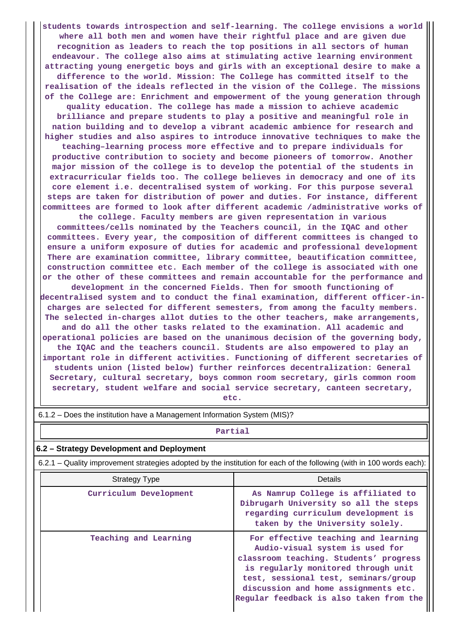**students towards introspection and self-learning. The college envisions a world where all both men and women have their rightful place and are given due recognition as leaders to reach the top positions in all sectors of human endeavour. The college also aims at stimulating active learning environment attracting young energetic boys and girls with an exceptional desire to make a difference to the world. Mission: The College has committed itself to the realisation of the ideals reflected in the vision of the College. The missions of the College are: Enrichment and empowerment of the young generation through quality education. The college has made a mission to achieve academic brilliance and prepare students to play a positive and meaningful role in nation building and to develop a vibrant academic ambience for research and higher studies and also aspires to introduce innovative techniques to make the teaching–learning process more effective and to prepare individuals for productive contribution to society and become pioneers of tomorrow. Another major mission of the college is to develop the potential of the students in extracurricular fields too. The college believes in democracy and one of its core element i.e. decentralised system of working. For this purpose several steps are taken for distribution of power and duties. For instance, different committees are formed to look after different academic /administrative works of the college. Faculty members are given representation in various committees/cells nominated by the Teachers council, in the IQAC and other committees. Every year, the composition of different committees is changed to ensure a uniform exposure of duties for academic and professional development There are examination committee, library committee, beautification committee, construction committee etc. Each member of the college is associated with one or the other of these committees and remain accountable for the performance and development in the concerned Fields. Then for smooth functioning of decentralised system and to conduct the final examination, different officer-incharges are selected for different semesters, from among the faculty members. The selected in-charges allot duties to the other teachers, make arrangements, and do all the other tasks related to the examination. All academic and operational policies are based on the unanimous decision of the governing body, the IQAC and the teachers council. Students are also empowered to play an important role in different activities. Functioning of different secretaries of students union (listed below) further reinforces decentralization: General Secretary, cultural secretary, boys common room secretary, girls common room secretary, student welfare and social service secretary, canteen secretary, etc.**

| 6.1.2 – Does the institution have a Management Information System (MIS)?                                              |                                                                                                                                                                                                                                                                                    |  |  |  |  |  |  |  |
|-----------------------------------------------------------------------------------------------------------------------|------------------------------------------------------------------------------------------------------------------------------------------------------------------------------------------------------------------------------------------------------------------------------------|--|--|--|--|--|--|--|
|                                                                                                                       | Partial                                                                                                                                                                                                                                                                            |  |  |  |  |  |  |  |
| 6.2 – Strategy Development and Deployment                                                                             |                                                                                                                                                                                                                                                                                    |  |  |  |  |  |  |  |
| 6.2.1 – Quality improvement strategies adopted by the institution for each of the following (with in 100 words each): |                                                                                                                                                                                                                                                                                    |  |  |  |  |  |  |  |
| Strategy Type                                                                                                         | Details                                                                                                                                                                                                                                                                            |  |  |  |  |  |  |  |
| Curriculum Development                                                                                                | As Namrup College is affiliated to<br>Dibrugarh University so all the steps<br>regarding curriculum development is<br>taken by the University solely.                                                                                                                              |  |  |  |  |  |  |  |
| Teaching and Learning                                                                                                 | For effective teaching and learning<br>Audio-visual system is used for<br>classroom teaching. Students' progress<br>is regularly monitored through unit<br>test, sessional test, seminars/group<br>discussion and home assignments etc.<br>Regular feedback is also taken from the |  |  |  |  |  |  |  |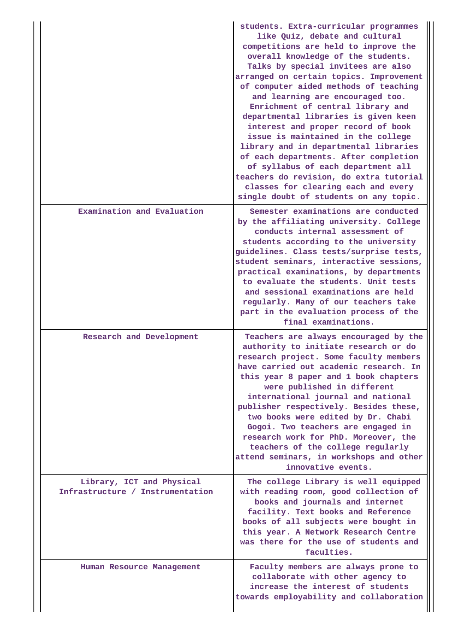|                                                               | students. Extra-curricular programmes<br>like Quiz, debate and cultural<br>competitions are held to improve the<br>overall knowledge of the students.<br>Talks by special invitees are also<br>arranged on certain topics. Improvement<br>of computer aided methods of teaching<br>and learning are encouraged too.<br>Enrichment of central library and<br>departmental libraries is given keen<br>interest and proper record of book<br>issue is maintained in the college<br>library and in departmental libraries<br>of each departments. After completion<br>of syllabus of each department all<br>teachers do revision, do extra tutorial<br>classes for clearing each and every<br>single doubt of students on any topic. |
|---------------------------------------------------------------|----------------------------------------------------------------------------------------------------------------------------------------------------------------------------------------------------------------------------------------------------------------------------------------------------------------------------------------------------------------------------------------------------------------------------------------------------------------------------------------------------------------------------------------------------------------------------------------------------------------------------------------------------------------------------------------------------------------------------------|
| Examination and Evaluation                                    | Semester examinations are conducted<br>by the affiliating university. College<br>conducts internal assessment of<br>students according to the university<br>guidelines. Class tests/surprise tests,<br>student seminars, interactive sessions,<br>practical examinations, by departments<br>to evaluate the students. Unit tests<br>and sessional examinations are held<br>regularly. Many of our teachers take<br>part in the evaluation process of the<br>final examinations.                                                                                                                                                                                                                                                  |
| Research and Development                                      | Teachers are always encouraged by the<br>authority to initiate research or do<br>research project. Some faculty members<br>have carried out academic research. In<br>this year 8 paper and 1 book chapters<br>were published in different<br>international journal and national<br>publisher respectively. Besides these,<br>two books were edited by Dr. Chabi<br>Gogoi. Two teachers are engaged in<br>research work for PhD. Moreover, the<br>teachers of the college regularly<br>attend seminars, in workshops and other<br>innovative events.                                                                                                                                                                              |
| Library, ICT and Physical<br>Infrastructure / Instrumentation | The college Library is well equipped<br>with reading room, good collection of<br>books and journals and internet<br>facility. Text books and Reference<br>books of all subjects were bought in<br>this year. A Network Research Centre<br>was there for the use of students and<br>faculties.                                                                                                                                                                                                                                                                                                                                                                                                                                    |
| Human Resource Management                                     | Faculty members are always prone to<br>collaborate with other agency to<br>increase the interest of students<br>towards employability and collaboration                                                                                                                                                                                                                                                                                                                                                                                                                                                                                                                                                                          |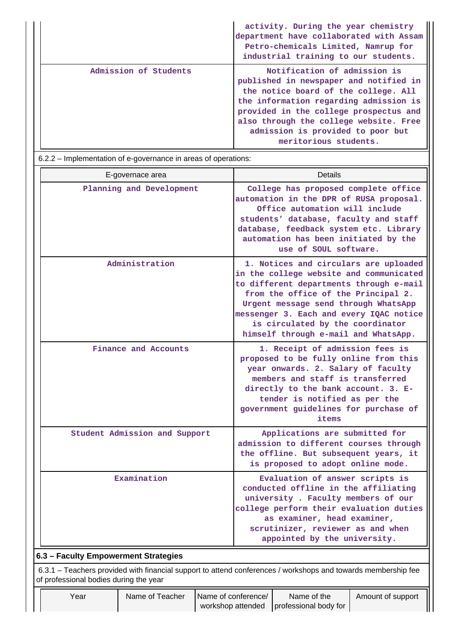|                       | activity. During the year chemistry<br>department have collaborated with Assam<br>Petro-chemicals Limited, Namrup for<br>industrial training to our students.                                                                                                                                              |
|-----------------------|------------------------------------------------------------------------------------------------------------------------------------------------------------------------------------------------------------------------------------------------------------------------------------------------------------|
| Admission of Students | Notification of admission is<br>published in newspaper and notified in<br>the notice board of the college. All<br>the information regarding admission is<br>provided in the college prospectus and<br>also through the college website. Free<br>admission is provided to poor but<br>meritorious students. |

6.2.2 – Implementation of e-governance in areas of operations:

| E-governace area                                                                                                                                        | Details                                                                                                                                                                                                                                                                                                                           |  |  |  |  |  |
|---------------------------------------------------------------------------------------------------------------------------------------------------------|-----------------------------------------------------------------------------------------------------------------------------------------------------------------------------------------------------------------------------------------------------------------------------------------------------------------------------------|--|--|--|--|--|
| Planning and Development                                                                                                                                | College has proposed complete office<br>automation in the DPR of RUSA proposal.<br>Office automation will include<br>students' database, faculty and staff<br>database, feedback system etc. Library<br>automation has been initiated by the<br>use of SOUL software.                                                             |  |  |  |  |  |
| Administration                                                                                                                                          | 1. Notices and circulars are uploaded<br>in the college website and communicated<br>to different departments through e-mail<br>from the office of the Principal 2.<br>Urgent message send through WhatsApp<br>messenger 3. Each and every IQAC notice<br>is circulated by the coordinator<br>himself through e-mail and WhatsApp. |  |  |  |  |  |
| Finance and Accounts                                                                                                                                    | 1. Receipt of admission fees is<br>proposed to be fully online from this<br>year onwards. 2. Salary of faculty<br>members and staff is transferred<br>directly to the bank account. 3. E-<br>tender is notified as per the<br>government guidelines for purchase of<br>items                                                      |  |  |  |  |  |
| Student Admission and Support                                                                                                                           | Applications are submitted for<br>admission to different courses through<br>the offline. But subsequent years, it<br>is proposed to adopt online mode.                                                                                                                                                                            |  |  |  |  |  |
| Examination                                                                                                                                             | Evaluation of answer scripts is<br>conducted offline in the affiliating<br>university. Faculty members of our<br>college perform their evaluation duties<br>as examiner, head examiner,<br>scrutinizer, reviewer as and when<br>appointed by the university.                                                                      |  |  |  |  |  |
| 6.3 - Faculty Empowerment Strategies                                                                                                                    |                                                                                                                                                                                                                                                                                                                                   |  |  |  |  |  |
| 6.3.1 – Teachers provided with financial support to attend conferences / workshops and towards membership fee<br>of professional bodies during the year |                                                                                                                                                                                                                                                                                                                                   |  |  |  |  |  |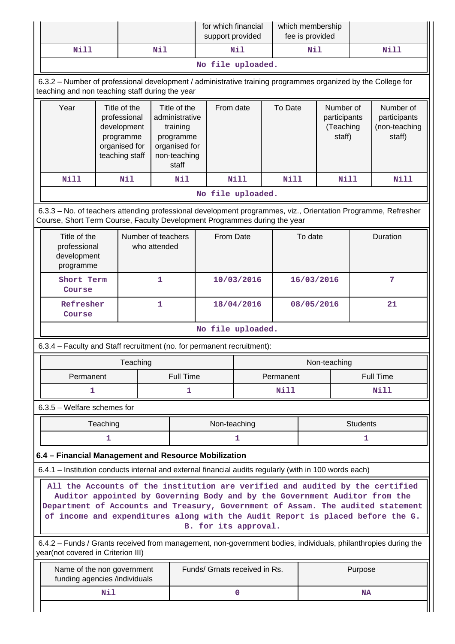|                                                                                                                                                                                                                                                                                                                                                          |                                                                                                                                                                 |          |                                                                                                   | for which financial<br>support provided |            |            | which membership<br>fee is provided |                                                  |                 |                                                      |  |
|----------------------------------------------------------------------------------------------------------------------------------------------------------------------------------------------------------------------------------------------------------------------------------------------------------------------------------------------------------|-----------------------------------------------------------------------------------------------------------------------------------------------------------------|----------|---------------------------------------------------------------------------------------------------|-----------------------------------------|------------|------------|-------------------------------------|--------------------------------------------------|-----------------|------------------------------------------------------|--|
| <b>Nill</b>                                                                                                                                                                                                                                                                                                                                              |                                                                                                                                                                 |          | Nil                                                                                               |                                         | Nil        |            | Nil                                 |                                                  |                 | Nill                                                 |  |
|                                                                                                                                                                                                                                                                                                                                                          |                                                                                                                                                                 |          |                                                                                                   | No file uploaded.                       |            |            |                                     |                                                  |                 |                                                      |  |
|                                                                                                                                                                                                                                                                                                                                                          | 6.3.2 - Number of professional development / administrative training programmes organized by the College for<br>teaching and non teaching staff during the year |          |                                                                                                   |                                         |            |            |                                     |                                                  |                 |                                                      |  |
| Year                                                                                                                                                                                                                                                                                                                                                     | Title of the<br>professional<br>development<br>programme<br>organised for<br>teaching staff                                                                     |          | Title of the<br>administrative<br>training<br>programme<br>organised for<br>non-teaching<br>staff | From date                               |            | To Date    |                                     | Number of<br>participants<br>(Teaching<br>staff) |                 | Number of<br>participants<br>(non-teaching<br>staff) |  |
| <b>Nill</b>                                                                                                                                                                                                                                                                                                                                              |                                                                                                                                                                 | Nil      | Nil                                                                                               |                                         | Nill       | Nill       |                                     | <b>Nill</b>                                      |                 | Nill                                                 |  |
|                                                                                                                                                                                                                                                                                                                                                          |                                                                                                                                                                 |          |                                                                                                   | No file uploaded.                       |            |            |                                     |                                                  |                 |                                                      |  |
| 6.3.3 - No. of teachers attending professional development programmes, viz., Orientation Programme, Refresher<br>Course, Short Term Course, Faculty Development Programmes during the year                                                                                                                                                               |                                                                                                                                                                 |          |                                                                                                   |                                         |            |            |                                     |                                                  |                 |                                                      |  |
| Title of the<br>professional<br>development<br>programme                                                                                                                                                                                                                                                                                                 |                                                                                                                                                                 |          | Number of teachers<br>who attended                                                                | From Date                               |            |            | To date                             |                                                  |                 | Duration                                             |  |
| Course                                                                                                                                                                                                                                                                                                                                                   | Short Term                                                                                                                                                      |          | 1                                                                                                 |                                         | 10/03/2016 | 16/03/2016 |                                     | 7                                                |                 |                                                      |  |
| Refresher<br>Course                                                                                                                                                                                                                                                                                                                                      |                                                                                                                                                                 |          | 1                                                                                                 |                                         | 18/04/2016 |            | 08/05/2016                          |                                                  |                 | 21                                                   |  |
|                                                                                                                                                                                                                                                                                                                                                          |                                                                                                                                                                 |          |                                                                                                   | No file uploaded.                       |            |            |                                     |                                                  |                 |                                                      |  |
| 6.3.4 - Faculty and Staff recruitment (no. for permanent recruitment):                                                                                                                                                                                                                                                                                   |                                                                                                                                                                 |          |                                                                                                   |                                         |            |            |                                     |                                                  |                 |                                                      |  |
|                                                                                                                                                                                                                                                                                                                                                          |                                                                                                                                                                 | Teaching |                                                                                                   |                                         |            |            | Non-teaching                        |                                                  |                 |                                                      |  |
| Permanent                                                                                                                                                                                                                                                                                                                                                |                                                                                                                                                                 |          |                                                                                                   | <b>Full Time</b>                        |            | Permanent  |                                     |                                                  | Full Time       |                                                      |  |
| 1                                                                                                                                                                                                                                                                                                                                                        |                                                                                                                                                                 |          | 1                                                                                                 |                                         |            | Nill       |                                     |                                                  |                 | <b>Nill</b>                                          |  |
| $6.3.5$ – Welfare schemes for                                                                                                                                                                                                                                                                                                                            |                                                                                                                                                                 |          |                                                                                                   |                                         |            |            |                                     |                                                  |                 |                                                      |  |
|                                                                                                                                                                                                                                                                                                                                                          | Teaching                                                                                                                                                        |          |                                                                                                   | Non-teaching                            |            |            |                                     |                                                  | <b>Students</b> |                                                      |  |
|                                                                                                                                                                                                                                                                                                                                                          | 1                                                                                                                                                               |          |                                                                                                   |                                         | 1          |            | 1                                   |                                                  |                 |                                                      |  |
| 6.4 - Financial Management and Resource Mobilization                                                                                                                                                                                                                                                                                                     |                                                                                                                                                                 |          |                                                                                                   |                                         |            |            |                                     |                                                  |                 |                                                      |  |
| 6.4.1 – Institution conducts internal and external financial audits regularly (with in 100 words each)                                                                                                                                                                                                                                                   |                                                                                                                                                                 |          |                                                                                                   |                                         |            |            |                                     |                                                  |                 |                                                      |  |
| All the Accounts of the institution are verified and audited by the certified<br>Auditor appointed by Governing Body and by the Government Auditor from the<br>Department of Accounts and Treasury, Government of Assam. The audited statement<br>of income and expenditures along with the Audit Report is placed before the G.<br>B. for its approval. |                                                                                                                                                                 |          |                                                                                                   |                                         |            |            |                                     |                                                  |                 |                                                      |  |
| 6.4.2 - Funds / Grants received from management, non-government bodies, individuals, philanthropies during the<br>year(not covered in Criterion III)                                                                                                                                                                                                     |                                                                                                                                                                 |          |                                                                                                   |                                         |            |            |                                     |                                                  |                 |                                                      |  |
| Name of the non government<br>funding agencies /individuals                                                                                                                                                                                                                                                                                              |                                                                                                                                                                 |          |                                                                                                   | Funds/ Grnats received in Rs.           |            |            |                                     |                                                  | Purpose         |                                                      |  |
|                                                                                                                                                                                                                                                                                                                                                          | Nil                                                                                                                                                             |          |                                                                                                   |                                         | 0          |            |                                     |                                                  | <b>NA</b>       |                                                      |  |
|                                                                                                                                                                                                                                                                                                                                                          |                                                                                                                                                                 |          |                                                                                                   |                                         |            |            |                                     |                                                  |                 |                                                      |  |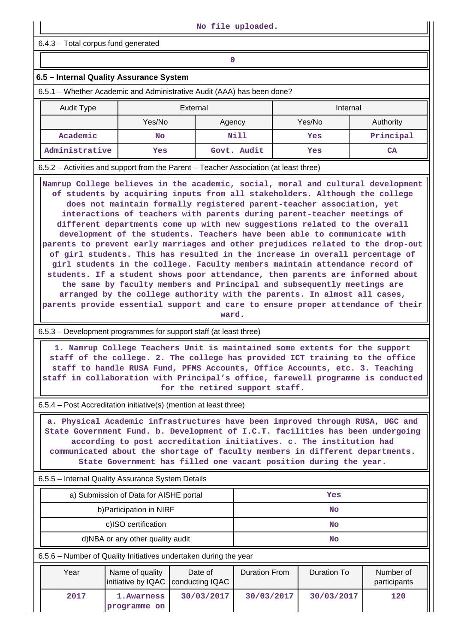6.4.3 – Total corpus fund generated

## **6.5 – Internal Quality Assurance System**

6.5.1 – Whether Academic and Administrative Audit (AAA) has been done?

| Audit Type     | External |             | Internal |           |  |  |
|----------------|----------|-------------|----------|-----------|--|--|
|                | Yes/No   | Agency      |          | Authority |  |  |
| Academic       | No       | Nill        | Yes      | Principal |  |  |
| Administrative | Yes      | Govt. Audit | Yes      | <b>CA</b> |  |  |

6.5.2 – Activities and support from the Parent – Teacher Association (at least three)

 **Namrup College believes in the academic, social, moral and cultural development of students by acquiring inputs from all stakeholders. Although the college does not maintain formally registered parent-teacher association, yet interactions of teachers with parents during parent-teacher meetings of different departments come up with new suggestions related to the overall development of the students. Teachers have been able to communicate with parents to prevent early marriages and other prejudices related to the drop-out of girl students. This has resulted in the increase in overall percentage of girl students in the college. Faculty members maintain attendance record of students. If a student shows poor attendance, then parents are informed about the same by faculty members and Principal and subsequently meetings are arranged by the college authority with the parents. In almost all cases, parents provide essential support and care to ensure proper attendance of their**

**ward.**

#### 6.5.3 – Development programmes for support staff (at least three)

 **1. Namrup College Teachers Unit is maintained some extents for the support staff of the college. 2. The college has provided ICT training to the office staff to handle RUSA Fund, PFMS Accounts, Office Accounts, etc. 3. Teaching staff in collaboration with Principal's office, farewell programme is conducted for the retired support staff.**

6.5.4 – Post Accreditation initiative(s) (mention at least three)

 **a. Physical Academic infrastructures have been improved through RUSA, UGC and State Government Fund. b. Development of I.C.T. facilities has been undergoing according to post accreditation initiatives. c. The institution had communicated about the shortage of faculty members in different departments. State Government has filled one vacant position during the year.**

#### 6.5.5 – Internal Quality Assurance System Details

| a) Submission of Data for AISHE portal | Yes |
|----------------------------------------|-----|
| b) Participation in NIRF               | No  |
| c)ISO certification                    | No  |
| d)NBA or any other quality audit       | No  |

6.5.6 – Number of Quality Initiatives undertaken during the year

| Year | Name of quality<br>initiative by IQAC   conducting IQAC | Date of    | Duration From | Duration To | Number of<br>participants |
|------|---------------------------------------------------------|------------|---------------|-------------|---------------------------|
| 2017 | 1. Awarness<br>programme on                             | 30/03/2017 | 30/03/2017    | 30/03/2017  | 120                       |

 **No file uploaded.**

**0**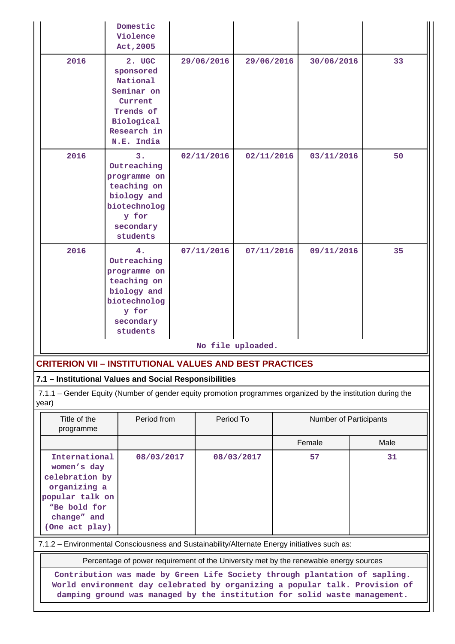|                                                                                                                                                                                                                                        | Domestic<br>Violence<br>Act, 2005                                                                                 |  |            |                                     |  |            |      |    |
|----------------------------------------------------------------------------------------------------------------------------------------------------------------------------------------------------------------------------------------|-------------------------------------------------------------------------------------------------------------------|--|------------|-------------------------------------|--|------------|------|----|
| 2016                                                                                                                                                                                                                                   | 2. UGC<br>sponsored<br>National<br>Seminar on<br>Current<br>Trends of<br>Biological<br>Research in<br>N.E. India  |  | 29/06/2016 | 29/06/2016                          |  | 30/06/2016 |      | 33 |
| 2016                                                                                                                                                                                                                                   | 3.<br>Outreaching<br>programme on<br>teaching on<br>biology and<br>biotechnolog<br>y for<br>secondary<br>students |  | 02/11/2016 | 02/11/2016                          |  | 03/11/2016 |      | 50 |
| 2016                                                                                                                                                                                                                                   | 4.<br>Outreaching<br>programme on<br>teaching on<br>biology and<br>biotechnolog<br>y for<br>secondary<br>students |  | 07/11/2016 | 07/11/2016                          |  | 09/11/2016 |      | 35 |
|                                                                                                                                                                                                                                        |                                                                                                                   |  |            | No file uploaded.                   |  |            |      |    |
| <b>CRITERION VII – INSTITUTIONAL VALUES AND BEST PRACTICES</b>                                                                                                                                                                         |                                                                                                                   |  |            |                                     |  |            |      |    |
| 7.1 - Institutional Values and Social Responsibilities                                                                                                                                                                                 |                                                                                                                   |  |            |                                     |  |            |      |    |
| year)                                                                                                                                                                                                                                  | 7.1.1 – Gender Equity (Number of gender equity promotion programmes organized by the institution during the       |  |            |                                     |  |            |      |    |
| Title of the<br>programme                                                                                                                                                                                                              | Period from                                                                                                       |  |            | Period To<br>Number of Participants |  |            |      |    |
|                                                                                                                                                                                                                                        |                                                                                                                   |  |            |                                     |  | Female     | Male |    |
| International<br>08/03/2017<br>women's day<br>celebration by<br>organizing a<br>popular talk on<br>"Be bold for<br>change" and<br>(One act play)                                                                                       |                                                                                                                   |  | 08/03/2017 |                                     |  | 57         | 31   |    |
|                                                                                                                                                                                                                                        | 7.1.2 - Environmental Consciousness and Sustainability/Alternate Energy initiatives such as:                      |  |            |                                     |  |            |      |    |
|                                                                                                                                                                                                                                        | Percentage of power requirement of the University met by the renewable energy sources                             |  |            |                                     |  |            |      |    |
| Contribution was made by Green Life Society through plantation of sapling.<br>World environment day celebrated by organizing a popular talk. Provision of<br>damping ground was managed by the institution for solid waste management. |                                                                                                                   |  |            |                                     |  |            |      |    |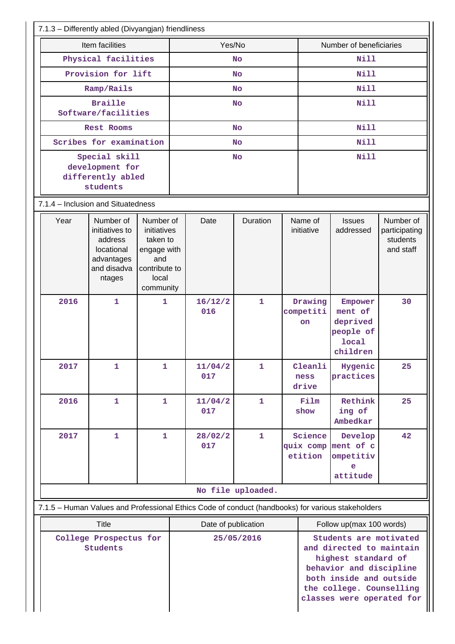| 7.1.3 - Differently abled (Divyangjan) friendliness                                                                    |                                                                                                                                                                           |                                                     |           |                |              |                                           |                                   |                                                                         |                                                     |
|------------------------------------------------------------------------------------------------------------------------|---------------------------------------------------------------------------------------------------------------------------------------------------------------------------|-----------------------------------------------------|-----------|----------------|--------------|-------------------------------------------|-----------------------------------|-------------------------------------------------------------------------|-----------------------------------------------------|
| Item facilities                                                                                                        |                                                                                                                                                                           |                                                     | Yes/No    |                |              | Number of beneficiaries                   |                                   |                                                                         |                                                     |
|                                                                                                                        | Physical facilities                                                                                                                                                       |                                                     |           | <b>No</b>      |              | Nill                                      |                                   |                                                                         |                                                     |
|                                                                                                                        | Provision for lift                                                                                                                                                        |                                                     |           | <b>No</b>      |              | <b>Nill</b>                               |                                   |                                                                         |                                                     |
|                                                                                                                        | Ramp/Rails                                                                                                                                                                |                                                     |           | <b>No</b>      |              |                                           | <b>Nill</b>                       |                                                                         |                                                     |
|                                                                                                                        | <b>Braille</b>                                                                                                                                                            |                                                     | <b>No</b> |                |              | <b>Nill</b>                               |                                   |                                                                         |                                                     |
|                                                                                                                        | Software/facilities                                                                                                                                                       |                                                     |           |                |              |                                           |                                   |                                                                         |                                                     |
|                                                                                                                        | Rest Rooms                                                                                                                                                                |                                                     | <b>No</b> |                |              |                                           | <b>Nill</b>                       |                                                                         |                                                     |
|                                                                                                                        | Scribes for examination                                                                                                                                                   |                                                     | <b>No</b> |                |              |                                           | <b>Nill</b>                       |                                                                         |                                                     |
|                                                                                                                        | Special skill<br>development for                                                                                                                                          |                                                     |           |                | <b>No</b>    |                                           | <b>Nill</b>                       |                                                                         |                                                     |
|                                                                                                                        | differently abled                                                                                                                                                         |                                                     |           |                |              |                                           |                                   |                                                                         |                                                     |
|                                                                                                                        | students                                                                                                                                                                  |                                                     |           |                |              |                                           |                                   |                                                                         |                                                     |
| 7.1.4 - Inclusion and Situatedness                                                                                     |                                                                                                                                                                           |                                                     |           |                |              |                                           |                                   |                                                                         |                                                     |
| Year                                                                                                                   | Number of<br>initiatives to<br>address<br>locational                                                                                                                      | Number of<br>initiatives<br>taken to<br>engage with |           | Date           | Duration     |                                           | Name of<br>initiative             | <b>Issues</b><br>addressed                                              | Number of<br>participating<br>students<br>and staff |
|                                                                                                                        | advantages<br>and disadva<br>ntages                                                                                                                                       | and<br>contribute to<br>local<br>community          |           |                |              |                                           |                                   |                                                                         |                                                     |
| 2016                                                                                                                   | $\mathbf{1}$                                                                                                                                                              | 1                                                   |           | 16/12/2<br>016 | $\mathbf{1}$ |                                           | Drawing<br>competiti<br><b>on</b> | Empower<br>ment of<br>deprived<br>people of<br><b>local</b><br>children | 30                                                  |
| 2017                                                                                                                   | 1                                                                                                                                                                         | 1                                                   |           | 11/04/2<br>017 | $\mathbf{1}$ |                                           | Cleanli<br>ness<br>drive          | Hygenic<br>practices                                                    | 25                                                  |
| 2016                                                                                                                   | $\mathbf{1}$                                                                                                                                                              | $\mathbf{1}$                                        |           | 11/04/2<br>017 | $\mathbf{1}$ |                                           | Film<br>show                      | Rethink<br>ing of<br>Ambedkar                                           | 25                                                  |
| 2017                                                                                                                   | $\mathbf{1}$                                                                                                                                                              | $\mathbf{1}$                                        |           | 28/02/2<br>017 | $\mathbf{1}$ | Science<br>quix comp ment of c<br>etition |                                   | Develop<br>ompetitiv<br>e<br>attitude                                   | 42                                                  |
|                                                                                                                        |                                                                                                                                                                           |                                                     |           |                |              |                                           |                                   |                                                                         |                                                     |
| No file uploaded.<br>7.1.5 - Human Values and Professional Ethics Code of conduct (handbooks) for various stakeholders |                                                                                                                                                                           |                                                     |           |                |              |                                           |                                   |                                                                         |                                                     |
|                                                                                                                        | <b>Title</b><br>Follow up(max 100 words)<br>Date of publication                                                                                                           |                                                     |           |                |              |                                           |                                   |                                                                         |                                                     |
| College Prospectus for<br><b>Students</b>                                                                              | Students are motivated<br>25/05/2016<br>and directed to maintain<br>highest standard of<br>behavior and discipline<br>both inside and outside<br>the college. Counselling |                                                     |           |                |              |                                           |                                   |                                                                         |                                                     |
|                                                                                                                        |                                                                                                                                                                           |                                                     |           |                |              | classes were operated for                 |                                   |                                                                         |                                                     |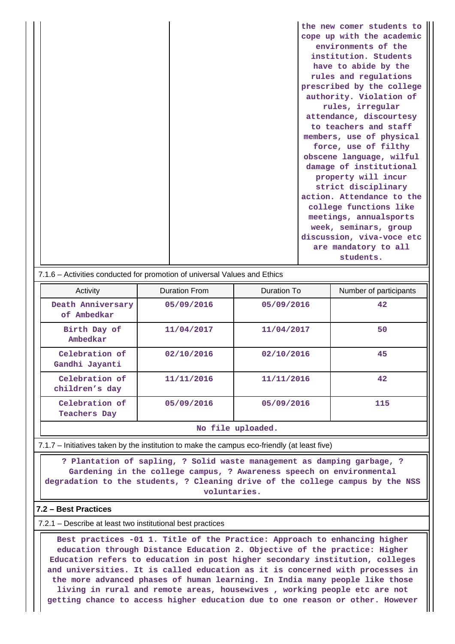**the new comer students to cope up with the academic environments of the institution. Students have to abide by the rules and regulations prescribed by the college authority. Violation of rules, irregular attendance, discourtesy to teachers and staff members, use of physical force, use of filthy obscene language, wilful damage of institutional property will incur strict disciplinary action. Attendance to the college functions like meetings, annualsports week, seminars, group discussion, viva-voce etc are mandatory to all students.**

| 7.1.6 – Activities conducted for promotion of universal Values and Ethics |                                       |               |             |     |  |  |  |  |
|---------------------------------------------------------------------------|---------------------------------------|---------------|-------------|-----|--|--|--|--|
|                                                                           | Activity                              | Duration From | Duration To |     |  |  |  |  |
|                                                                           | Death Anniversary<br>of Ambedkar      | 05/09/2016    | 05/09/2016  | 42  |  |  |  |  |
|                                                                           | Birth Day of<br>Ambedkar              | 11/04/2017    | 11/04/2017  | 50  |  |  |  |  |
|                                                                           | Celebration of<br>Gandhi Jayanti      | 02/10/2016    | 02/10/2016  | 45  |  |  |  |  |
|                                                                           | Celebration of<br>children's day      | 11/11/2016    | 11/11/2016  | 42  |  |  |  |  |
|                                                                           | Celebration of<br><b>Teachers Day</b> | 05/09/2016    | 05/09/2016  | 115 |  |  |  |  |

#### **No file uploaded.**

7.1.7 – Initiatives taken by the institution to make the campus eco-friendly (at least five)

 **? Plantation of sapling, ? Solid waste management as damping garbage, ? Gardening in the college campus, ? Awareness speech on environmental degradation to the students, ? Cleaning drive of the college campus by the NSS voluntaries.**

#### **7.2 – Best Practices**

7.2.1 – Describe at least two institutional best practices

 **Best practices -01 1. Title of the Practice: Approach to enhancing higher education through Distance Education 2. Objective of the practice: Higher Education refers to education in post higher secondary institution, colleges and universities. It is called education as it is concerned with processes in the more advanced phases of human learning. In India many people like those living in rural and remote areas, housewives , working people etc are not getting chance to access higher education due to one reason or other. However**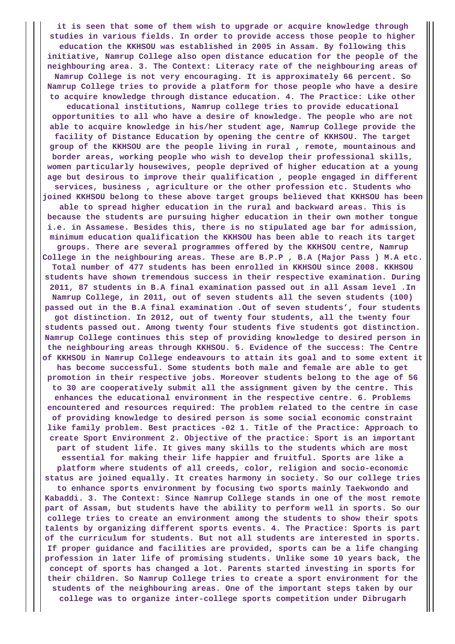**it is seen that some of them wish to upgrade or acquire knowledge through studies in various fields. In order to provide access those people to higher education the KKHSOU was established in 2005 in Assam. By following this initiative, Namrup College also open distance education for the people of the neighbouring area. 3. The Context: Literacy rate of the neighbouring areas of Namrup College is not very encouraging. It is approximately 66 percent. So Namrup College tries to provide a platform for those people who have a desire to acquire knowledge through distance education. 4. The Practice: Like other educational institutions, Namrup college tries to provide educational opportunities to all who have a desire of knowledge. The people who are not able to acquire knowledge in his/her student age, Namrup College provide the facility of Distance Education by opening the centre of KKHSOU. The target group of the KKHSOU are the people living in rural , remote, mountainous and border areas, working people who wish to develop their professional skills, women particularly housewives, people deprived of higher education at a young age but desirous to improve their qualification , people engaged in different services, business , agriculture or the other profession etc. Students who joined KKHSOU belong to these above target groups believed that KKHSOU has been able to spread higher education in the rural and backward areas. This is because the students are pursuing higher education in their own mother tongue i.e. in Assamese. Besides this, there is no stipulated age bar for admission, minimum education qualification the KKHSOU has been able to reach its target groups. There are several programmes offered by the KKHSOU centre, Namrup College in the neighbouring areas. These are B.P.P , B.A (Major Pass ) M.A etc. Total number of 477 students has been enrolled in KKHSOU since 2008. KKHSOU students have shown tremendous success in their respective examination. During 2011, 87 students in B.A final examination passed out in all Assam level .In Namrup College, in 2011, out of seven students all the seven students (100) passed out in the B.A final examination .Out of seven students', four students got distinction. In 2012, out of twenty four students, all the twenty four students passed out. Among twenty four students five students got distinction. Namrup College continues this step of providing knowledge to desired person in the neighbouring areas through KKHSOU. 5. Evidence of the success: The Centre of KKHSOU in Namrup College endeavours to attain its goal and to some extent it has become successful. Some students both male and female are able to get promotion in their respective jobs. Moreover students belong to the age of 56 to 30 are cooperatively submit all the assignment given by the centre. This enhances the educational environment in the respective centre. 6. Problems encountered and resources required: The problem related to the centre in case of providing knowledge to desired person is some social economic constraint like family problem. Best practices -02 1. Title of the Practice: Approach to create Sport Environment 2. Objective of the practice: Sport is an important part of student life. It gives many skills to the students which are most essential for making their life happier and fruitful. Sports are like a platform where students of all creeds, color, religion and socio-economic status are joined equally. It creates harmony in society. So our college tries to enhance sports environment by focusing two sports mainly Taekwondo and Kabaddi. 3. The Context: Since Namrup College stands in one of the most remote part of Assam, but students have the ability to perform well in sports. So our college tries to create an environment among the students to show their spots talents by organizing different sports events. 4. The Practice: Sports is part of the curriculum for students. But not all students are interested in sports. If proper guidance and facilities are provided, sports can be a life changing profession in later life of promising students. Unlike some 10 years back, the concept of sports has changed a lot. Parents started investing in sports for their children. So Namrup College tries to create a sport environment for the students of the neighbouring areas. One of the important steps taken by our college was to organize inter-college sports competition under Dibrugarh**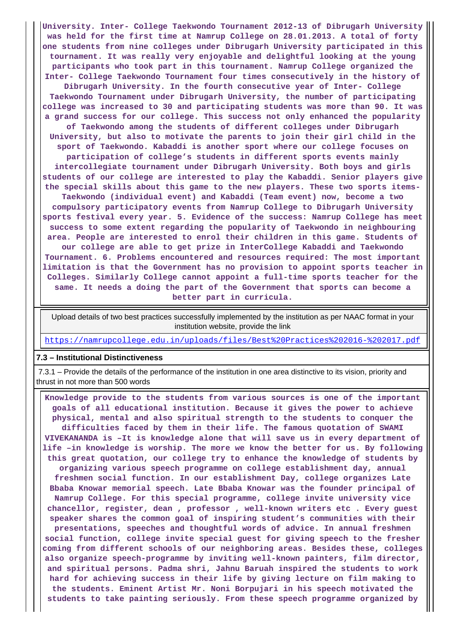**University. Inter- College Taekwondo Tournament 2012-13 of Dibrugarh University was held for the first time at Namrup College on 28.01.2013. A total of forty one students from nine colleges under Dibrugarh University participated in this tournament. It was really very enjoyable and delightful looking at the young participants who took part in this tournament. Namrup College organized the Inter- College Taekwondo Tournament four times consecutively in the history of Dibrugarh University. In the fourth consecutive year of Inter- College Taekwondo Tournament under Dibrugarh University, the number of participating college was increased to 30 and participating students was more than 90. It was a grand success for our college. This success not only enhanced the popularity of Taekwondo among the students of different colleges under Dibrugarh University, but also to motivate the parents to join their girl child in the sport of Taekwondo. Kabaddi is another sport where our college focuses on participation of college's students in different sports events mainly intercollegiate tournament under Dibrugarh University. Both boys and girls students of our college are interested to play the Kabaddi. Senior players give the special skills about this game to the new players. These two sports items-Taekwondo (individual event) and Kabaddi (Team event) now, become a two compulsory participatory events from Namrup College to Dibrugarh University sports festival every year. 5. Evidence of the success: Namrup College has meet success to some extent regarding the popularity of Taekwondo in neighbouring area. People are interested to enrol their children in this game. Students of our college are able to get prize in InterCollege Kabaddi and Taekwondo Tournament. 6. Problems encountered and resources required: The most important limitation is that the Government has no provision to appoint sports teacher in Colleges. Similarly College cannot appoint a full-time sports teacher for the same. It needs a doing the part of the Government that sports can become a better part in curricula.**

 Upload details of two best practices successfully implemented by the institution as per NAAC format in your institution website, provide the link

<https://namrupcollege.edu.in/uploads/files/Best%20Practices%202016-%202017.pdf>

#### **7.3 – Institutional Distinctiveness**

 7.3.1 – Provide the details of the performance of the institution in one area distinctive to its vision, priority and thrust in not more than 500 words

 **Knowledge provide to the students from various sources is one of the important goals of all educational institution. Because it gives the power to achieve physical, mental and also spiritual strength to the students to conquer the difficulties faced by them in their life. The famous quotation of SWAMI VIVEKANANDA is –It is knowledge alone that will save us in every department of life –in knowledge is worship. The more we know the better for us. By following this great quotation, our college try to enhance the knowledge of students by organizing various speech programme on college establishment day, annual freshmen social function. In our establishment Day, college organizes Late Bbaba Knowar memorial speech. Late Bbaba Knowar was the founder principal of Namrup College. For this special programme, college invite university vice chancellor, register, dean , professor , well-known writers etc . Every guest speaker shares the common goal of inspiring student's communities with their presentations, speeches and thoughtful words of advice. In annual freshmen social function, college invite special guest for giving speech to the fresher coming from different schools of our neighboring areas. Besides these, colleges also organize speech-programme by inviting well-known painters, film director, and spiritual persons. Padma shri, Jahnu Baruah inspired the students to work hard for achieving success in their life by giving lecture on film making to the students. Eminent Artist Mr. Noni Borpujari in his speech motivated the students to take painting seriously. From these speech programme organized by**